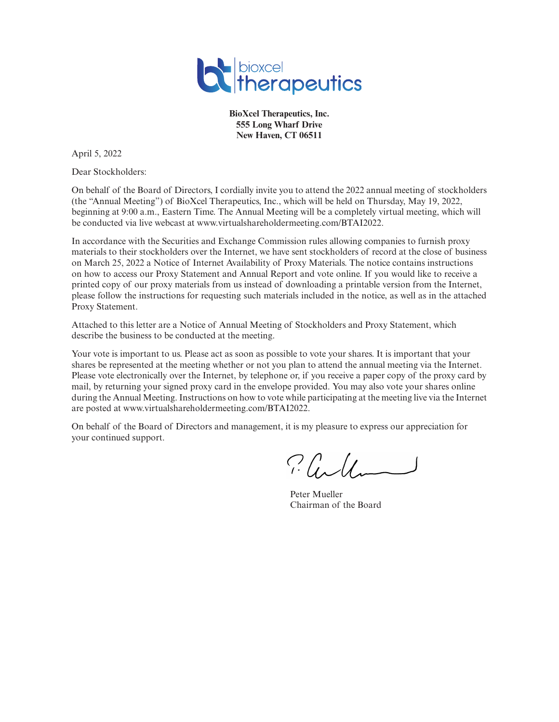

**BioXcel Therapeutics, Inc. 555 Long Wharf Drive New Haven, CT 06511**

April 5, 2022

Dear Stockholders:

On behalf of the Board of Directors, I cordially invite you to attend the 2022 annual meeting of stockholders (the "Annual Meeting") of BioXcel Therapeutics, Inc., which will be held on Thursday, May 19, 2022, beginning at 9:00 a.m., Eastern Time. The Annual Meeting will be a completely virtual meeting, which will be conducted via live webcast at www.virtualshareholdermeeting.com/BTAI2022.

In accordance with the Securities and Exchange Commission rules allowing companies to furnish proxy materials to their stockholders over the Internet, we have sent stockholders of record at the close of business on March 25, 2022 a Notice of Internet Availability of Proxy Materials. The notice contains instructions on how to access our Proxy Statement and Annual Report and vote online. If you would like to receive a printed copy of our proxy materials from us instead of downloading a printable version from the Internet, please follow the instructions for requesting such materials included in the notice, as well as in the attached Proxy Statement.

Attached to this letter are a Notice of Annual Meeting of Stockholders and Proxy Statement, which describe the business to be conducted at the meeting.

Your vote is important to us. Please act as soon as possible to vote your shares. It is important that your shares be represented at the meeting whether or not you plan to attend the annual meeting via the Internet. Please vote electronically over the Internet, by telephone or, if you receive a paper copy of the proxy card by mail, by returning your signed proxy card in the envelope provided. You may also vote your shares online during the Annual Meeting. Instructions on how to vote while participating at the meeting live via the Internet are posted at www.virtualshareholdermeeting.com/BTAI2022.

On behalf of the Board of Directors and management, it is my pleasure to express our appreciation for your continued support.

Plille

Peter Mueller Chairman of the Board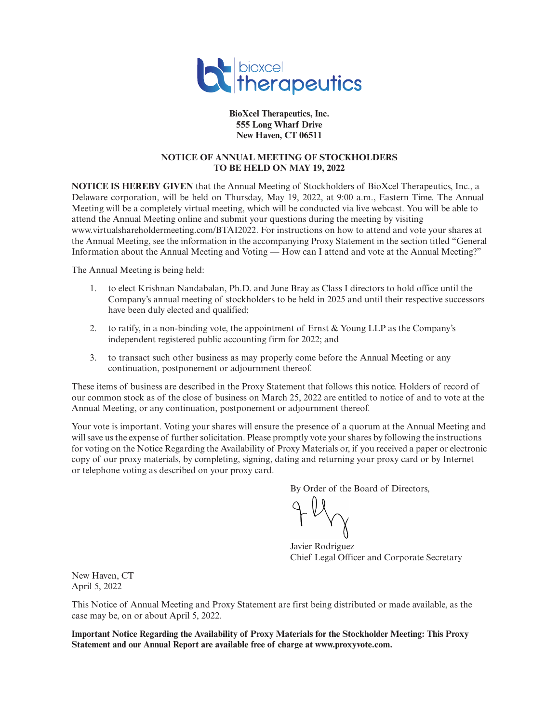

**BioXcel Therapeutics, Inc. 555 Long Wharf Drive New Haven, CT 06511**

# **NOTICE OF ANNUAL MEETING OF STOCKHOLDERS TO BE HELD ON MAY 19, 2022**

**NOTICE IS HEREBY GIVEN** that the Annual Meeting of Stockholders of BioXcel Therapeutics, Inc., a Delaware corporation, will be held on Thursday, May 19, 2022, at 9:00 a.m., Eastern Time. The Annual Meeting will be a completely virtual meeting, which will be conducted via live webcast. You will be able to attend the Annual Meeting online and submit your questions during the meeting by visiting www.virtualshareholdermeeting.com/BTAI2022. For instructions on how to attend and vote your shares at the Annual Meeting, see the information in the accompanying Proxy Statement in the section titled "General Information about the Annual Meeting and Voting — How can I attend and vote at the Annual Meeting?"

The Annual Meeting is being held:

- 1. to elect Krishnan Nandabalan, Ph.D. and June Bray as Class I directors to hold office until the Company's annual meeting of stockholders to be held in 2025 and until their respective successors have been duly elected and qualified;
- 2. to ratify, in a non-binding vote, the appointment of Ernst & Young LLP as the Company's independent registered public accounting firm for 2022; and
- 3. to transact such other business as may properly come before the Annual Meeting or any continuation, postponement or adjournment thereof.

These items of business are described in the Proxy Statement that follows this notice. Holders of record of our common stock as of the close of business on March 25, 2022 are entitled to notice of and to vote at the Annual Meeting, or any continuation, postponement or adjournment thereof.

Your vote is important. Voting your shares will ensure the presence of a quorum at the Annual Meeting and will save us the expense of further solicitation. Please promptly vote your shares by following the instructions for voting on the Notice Regarding the Availability of Proxy Materials or, if you received a paper or electronic copy of our proxy materials, by completing, signing, dating and returning your proxy card or by Internet or telephone voting as described on your proxy card.

By Order of the Board of Directors,

Javier Rodriguez Chief Legal Officer and Corporate Secretary

New Haven, CT April 5, 2022

This Notice of Annual Meeting and Proxy Statement are first being distributed or made available, as the case may be, on or about April 5, 2022.

**Important Notice Regarding the Availability of Proxy Materials for the Stockholder Meeting: This Proxy Statement and our Annual Report are available free of charge at www.proxyvote.com.**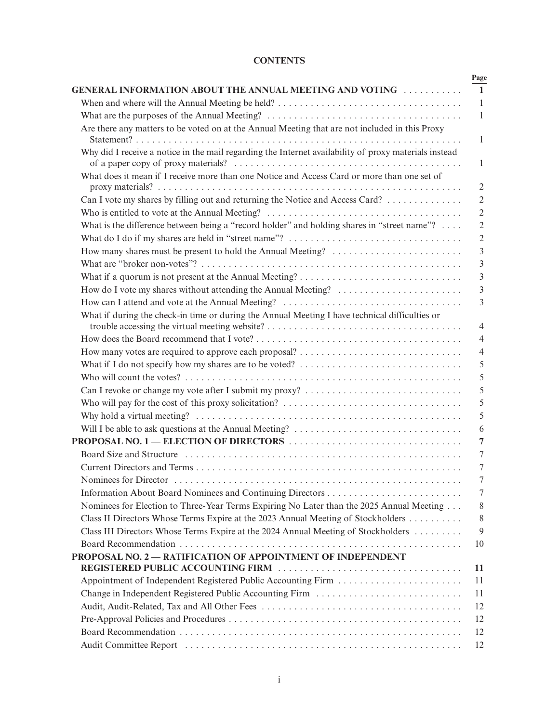# **CONTENTS**

|                                                                                                                           | Page                |
|---------------------------------------------------------------------------------------------------------------------------|---------------------|
| <b>GENERAL INFORMATION ABOUT THE ANNUAL MEETING AND VOTING FILLOW AND</b>                                                 | $\mathbf{1}$        |
| When and where will the Annual Meeting be held? $\dots \dots \dots \dots \dots \dots \dots \dots \dots \dots \dots \dots$ | 1                   |
|                                                                                                                           | $\mathbf{1}$        |
| Are there any matters to be voted on at the Annual Meeting that are not included in this Proxy                            | $\mathbf{1}$        |
| Why did I receive a notice in the mail regarding the Internet availability of proxy materials instead                     | 1                   |
| What does it mean if I receive more than one Notice and Access Card or more than one set of                               | $\overline{2}$      |
| Can I vote my shares by filling out and returning the Notice and Access Card?                                             | $\sqrt{2}$          |
| Who is entitled to vote at the Annual Meeting? $\dots \dots \dots \dots \dots \dots \dots \dots \dots \dots \dots \dots$  | $\overline{2}$      |
| What is the difference between being a "record holder" and holding shares in "street name"?                               | $\overline{2}$      |
|                                                                                                                           | $\overline{2}$      |
| How many shares must be present to hold the Annual Meeting?                                                               | $\overline{3}$      |
|                                                                                                                           | $\mathfrak{Z}$      |
|                                                                                                                           | 3                   |
| How do I vote my shares without attending the Annual Meeting?                                                             | $\overline{3}$      |
|                                                                                                                           |                     |
| What if during the check-in time or during the Annual Meeting I have technical difficulties or                            | $\overline{4}$      |
|                                                                                                                           |                     |
|                                                                                                                           | $\overline{4}$      |
| What if I do not specify how my shares are to be voted? $\dots \dots \dots \dots \dots \dots \dots \dots \dots \dots$     | $\overline{4}$<br>5 |
|                                                                                                                           |                     |
|                                                                                                                           | 5                   |
| Who will pay for the cost of this proxy solicitation? $\dots \dots \dots \dots \dots \dots \dots \dots \dots \dots \dots$ |                     |
|                                                                                                                           |                     |
|                                                                                                                           |                     |
|                                                                                                                           | 6<br>$\overline{7}$ |
|                                                                                                                           |                     |
|                                                                                                                           |                     |
| Nominees for Director                                                                                                     |                     |
|                                                                                                                           | 7                   |
| Nominees for Election to Three-Year Terms Expiring No Later than the 2025 Annual Meeting                                  |                     |
| Class II Directors Whose Terms Expire at the 2023 Annual Meeting of Stockholders                                          | 8                   |
| Class III Directors Whose Terms Expire at the 2024 Annual Meeting of Stockholders                                         | 9                   |
|                                                                                                                           |                     |
| PROPOSAL NO. 2 - RATIFICATION OF APPOINTMENT OF INDEPENDENT                                                               | 10                  |
|                                                                                                                           | 11                  |
|                                                                                                                           | 11                  |
| Change in Independent Registered Public Accounting Firm                                                                   | 11                  |
|                                                                                                                           | 12                  |
|                                                                                                                           | 12                  |
|                                                                                                                           | 12                  |
|                                                                                                                           | 12                  |
|                                                                                                                           |                     |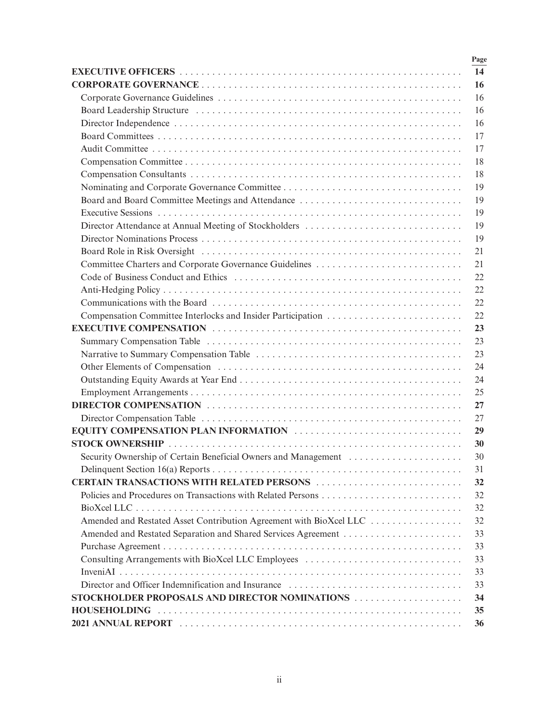|                                                                    | Page |
|--------------------------------------------------------------------|------|
|                                                                    | 14   |
|                                                                    | 16   |
|                                                                    | 16   |
|                                                                    | 16   |
|                                                                    | 16   |
|                                                                    | 17   |
|                                                                    | 17   |
|                                                                    | 18   |
|                                                                    | 18   |
|                                                                    | 19   |
| Board and Board Committee Meetings and Attendance                  | 19   |
|                                                                    | 19   |
| Director Attendance at Annual Meeting of Stockholders              | 19   |
|                                                                    | 19   |
|                                                                    | 21   |
|                                                                    | 21   |
|                                                                    | 22   |
|                                                                    | 22   |
|                                                                    | 22   |
|                                                                    | 22   |
|                                                                    | 23   |
|                                                                    | 23   |
|                                                                    | 23   |
|                                                                    | 24   |
|                                                                    | 24   |
|                                                                    | 25   |
|                                                                    | 27   |
|                                                                    | 27   |
| EQUITY COMPENSATION PLAN INFORMATION                               | 29   |
|                                                                    | 30   |
| Security Ownership of Certain Beneficial Owners and Management     | 30   |
|                                                                    | 31   |
| <b>CERTAIN TRANSACTIONS WITH RELATED PERSONS </b>                  | 32   |
|                                                                    | 32   |
|                                                                    | 32   |
| Amended and Restated Asset Contribution Agreement with BioXcel LLC | 32   |
| Amended and Restated Separation and Shared Services Agreement      | 33   |
|                                                                    | 33   |
| Consulting Arrangements with BioXcel LLC Employees                 | 33   |
|                                                                    | 33   |
|                                                                    | 33   |
| STOCKHOLDER PROPOSALS AND DIRECTOR NOMINATIONS                     | 34   |
|                                                                    | 35   |
|                                                                    | 36   |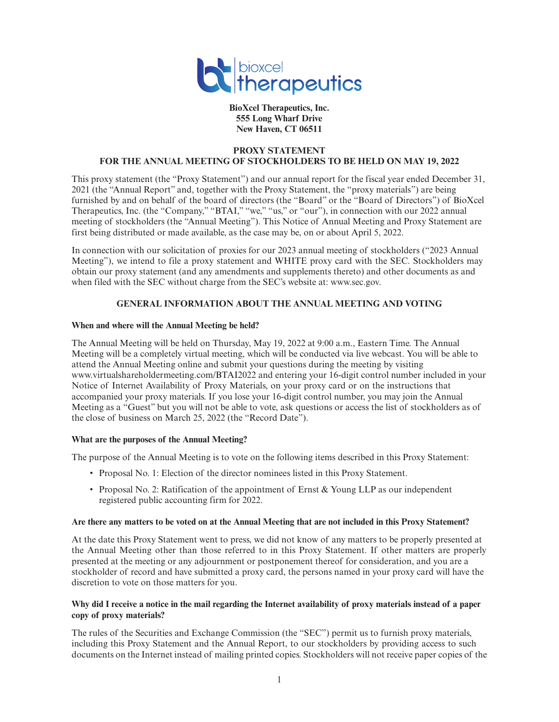

**BioXcel Therapeutics, Inc. 555 Long Wharf Drive New Haven, CT 06511**

### **PROXY STATEMENT FOR THE ANNUAL MEETING OF STOCKHOLDERS TO BE HELD ON MAY 19, 2022**

This proxy statement (the "Proxy Statement") and our annual report for the fiscal year ended December 31, 2021 (the "Annual Report" and, together with the Proxy Statement, the "proxy materials") are being furnished by and on behalf of the board of directors (the "Board" or the "Board of Directors") of BioXcel Therapeutics, Inc. (the "Company," "BTAI," "we," "us," or "our"), in connection with our 2022 annual meeting of stockholders (the "Annual Meeting"). This Notice of Annual Meeting and Proxy Statement are first being distributed or made available, as the case may be, on or about April 5, 2022.

In connection with our solicitation of proxies for our 2023 annual meeting of stockholders ("2023 Annual Meeting"), we intend to file a proxy statement and WHITE proxy card with the SEC. Stockholders may obtain our proxy statement (and any amendments and supplements thereto) and other documents as and when filed with the SEC without charge from the SEC's website at: www.sec.gov.

# **GENERAL INFORMATION ABOUT THE ANNUAL MEETING AND VOTING**

### **When and where will the Annual Meeting be held?**

The Annual Meeting will be held on Thursday, May 19, 2022 at 9:00 a.m., Eastern Time. The Annual Meeting will be a completely virtual meeting, which will be conducted via live webcast. You will be able to attend the Annual Meeting online and submit your questions during the meeting by visiting www.virtualshareholdermeeting.com/BTAI2022 and entering your 16-digit control number included in your Notice of Internet Availability of Proxy Materials, on your proxy card or on the instructions that accompanied your proxy materials. If you lose your 16-digit control number, you may join the Annual Meeting as a "Guest" but you will not be able to vote, ask questions or access the list of stockholders as of the close of business on March 25, 2022 (the "Record Date").

### **What are the purposes of the Annual Meeting?**

The purpose of the Annual Meeting is to vote on the following items described in this Proxy Statement:

- Proposal No. 1: Election of the director nominees listed in this Proxy Statement.
- Proposal No. 2: Ratification of the appointment of Ernst & Young LLP as our independent registered public accounting firm for 2022.

#### **Are there any matters to be voted on at the Annual Meeting that are not included in this Proxy Statement?**

At the date this Proxy Statement went to press, we did not know of any matters to be properly presented at the Annual Meeting other than those referred to in this Proxy Statement. If other matters are properly presented at the meeting or any adjournment or postponement thereof for consideration, and you are a stockholder of record and have submitted a proxy card, the persons named in your proxy card will have the discretion to vote on those matters for you.

### **Why did I receive a notice in the mail regarding the Internet availability of proxy materials instead of a paper copy of proxy materials?**

The rules of the Securities and Exchange Commission (the "SEC") permit us to furnish proxy materials, including this Proxy Statement and the Annual Report, to our stockholders by providing access to such documents on the Internet instead of mailing printed copies. Stockholders will not receive paper copies of the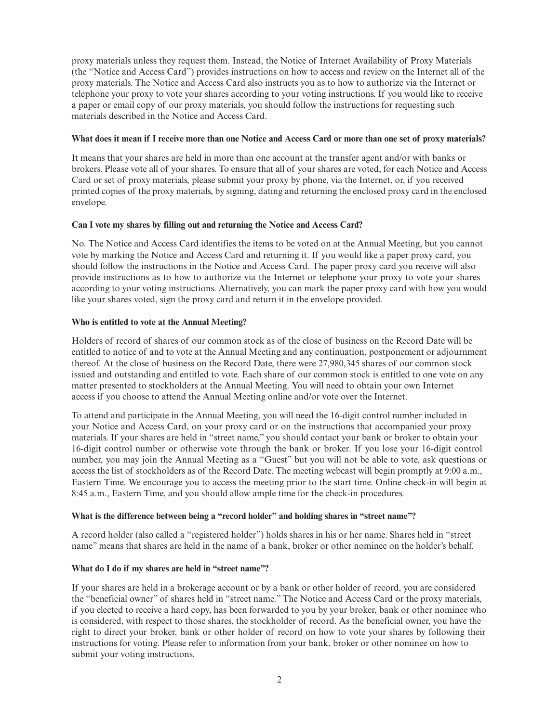proxy materials unless they request them. Instead, the Notice of Internet Availability of Proxy Materials (the "Notice and Access Card") provides instructions on how to access and review on the Internet all of the proxy materials. The Notice and Access Card also instructs you as to how to authorize via the Internet or telephone your proxy to vote your shares according to your voting instructions. If you would like to receive a paper or email copy of our proxy materials, you should follow the instructions for requesting such materials described in the Notice and Access Card.

#### **What does it mean if I receive more than one Notice and Access Card or more than one set of proxy materials?**

It means that your shares are held in more than one account at the transfer agent and/or with banks or brokers. Please vote all of your shares. To ensure that all of your shares are voted, for each Notice and Access Card or set of proxy materials, please submit your proxy by phone, via the Internet, or, if you received printed copies of the proxy materials, by signing, dating and returning the enclosed proxy card in the enclosed envelope.

### **Can I vote my shares by filling out and returning the Notice and Access Card?**

No. The Notice and Access Card identifies the items to be voted on at the Annual Meeting, but you cannot vote by marking the Notice and Access Card and returning it. If you would like a paper proxy card, you should follow the instructions in the Notice and Access Card. The paper proxy card you receive will also provide instructions as to how to authorize via the Internet or telephone your proxy to vote your shares according to your voting instructions. Alternatively, you can mark the paper proxy card with how you would like your shares voted, sign the proxy card and return it in the envelope provided.

# **Who is entitled to vote at the Annual Meeting?**

Holders of record of shares of our common stock as of the close of business on the Record Date will be entitled to notice of and to vote at the Annual Meeting and any continuation, postponement or adjournment thereof. At the close of business on the Record Date, there were 27,980,345 shares of our common stock issued and outstanding and entitled to vote. Each share of our common stock is entitled to one vote on any matter presented to stockholders at the Annual Meeting. You will need to obtain your own Internet access if you choose to attend the Annual Meeting online and/or vote over the Internet.

To attend and participate in the Annual Meeting, you will need the 16-digit control number included in your Notice and Access Card, on your proxy card or on the instructions that accompanied your proxy materials. If your shares are held in "street name," you should contact your bank or broker to obtain your 16-digit control number or otherwise vote through the bank or broker. If you lose your 16-digit control number, you may join the Annual Meeting as a "Guest" but you will not be able to vote, ask questions or access the list of stockholders as of the Record Date. The meeting webcast will begin promptly at 9:00 a.m., Eastern Time. We encourage you to access the meeting prior to the start time. Online check-in will begin at 8:45 a.m., Eastern Time, and you should allow ample time for the check-in procedures.

### **What is the difference between being a "record holder" and holding shares in "street name"?**

A record holder (also called a "registered holder") holds shares in his or her name. Shares held in "street name" means that shares are held in the name of a bank, broker or other nominee on the holder's behalf.

### **What do I do if my shares are held in "street name"?**

If your shares are held in a brokerage account or by a bank or other holder of record, you are considered the "beneficial owner" of shares held in "street name." The Notice and Access Card or the proxy materials, if you elected to receive a hard copy, has been forwarded to you by your broker, bank or other nominee who is considered, with respect to those shares, the stockholder of record. As the beneficial owner, you have the right to direct your broker, bank or other holder of record on how to vote your shares by following their instructions for voting. Please refer to information from your bank, broker or other nominee on how to submit your voting instructions.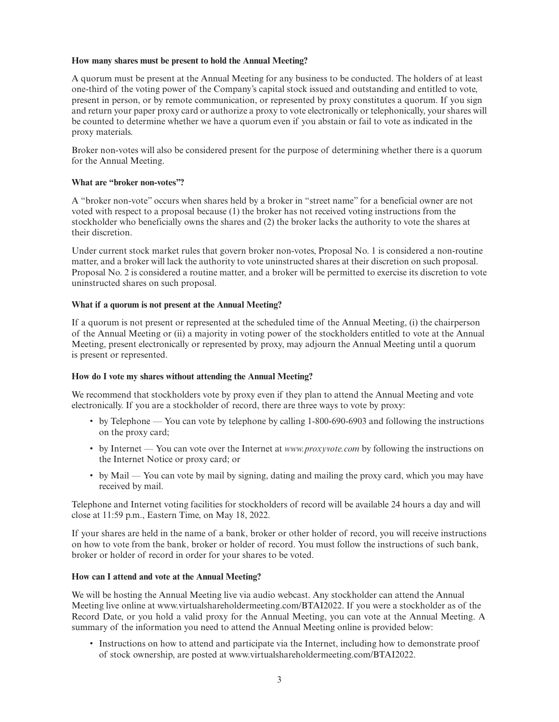### **How many shares must be present to hold the Annual Meeting?**

A quorum must be present at the Annual Meeting for any business to be conducted. The holders of at least one-third of the voting power of the Company's capital stock issued and outstanding and entitled to vote, present in person, or by remote communication, or represented by proxy constitutes a quorum. If you sign and return your paper proxy card or authorize a proxy to vote electronically or telephonically, your shares will be counted to determine whether we have a quorum even if you abstain or fail to vote as indicated in the proxy materials.

Broker non-votes will also be considered present for the purpose of determining whether there is a quorum for the Annual Meeting.

# **What are "broker non-votes"?**

A "broker non-vote" occurs when shares held by a broker in "street name" for a beneficial owner are not voted with respect to a proposal because (1) the broker has not received voting instructions from the stockholder who beneficially owns the shares and (2) the broker lacks the authority to vote the shares at their discretion.

Under current stock market rules that govern broker non-votes, Proposal No. 1 is considered a non-routine matter, and a broker will lack the authority to vote uninstructed shares at their discretion on such proposal. Proposal No. 2 is considered a routine matter, and a broker will be permitted to exercise its discretion to vote uninstructed shares on such proposal.

# **What if a quorum is not present at the Annual Meeting?**

If a quorum is not present or represented at the scheduled time of the Annual Meeting, (i) the chairperson of the Annual Meeting or (ii) a majority in voting power of the stockholders entitled to vote at the Annual Meeting, present electronically or represented by proxy, may adjourn the Annual Meeting until a quorum is present or represented.

### **How do I vote my shares without attending the Annual Meeting?**

We recommend that stockholders vote by proxy even if they plan to attend the Annual Meeting and vote electronically. If you are a stockholder of record, there are three ways to vote by proxy:

- by Telephone You can vote by telephone by calling 1-800-690-6903 and following the instructions on the proxy card;
- by Internet You can vote over the Internet at *www.proxyvote.com* by following the instructions on the Internet Notice or proxy card; or
- by Mail You can vote by mail by signing, dating and mailing the proxy card, which you may have received by mail.

Telephone and Internet voting facilities for stockholders of record will be available 24 hours a day and will close at 11:59 p.m., Eastern Time, on May 18, 2022.

If your shares are held in the name of a bank, broker or other holder of record, you will receive instructions on how to vote from the bank, broker or holder of record. You must follow the instructions of such bank, broker or holder of record in order for your shares to be voted.

### **How can I attend and vote at the Annual Meeting?**

We will be hosting the Annual Meeting live via audio webcast. Any stockholder can attend the Annual Meeting live online at www.virtualshareholdermeeting.com/BTAI2022. If you were a stockholder as of the Record Date, or you hold a valid proxy for the Annual Meeting, you can vote at the Annual Meeting. A summary of the information you need to attend the Annual Meeting online is provided below:

• Instructions on how to attend and participate via the Internet, including how to demonstrate proof of stock ownership, are posted at www.virtualshareholdermeeting.com/BTAI2022.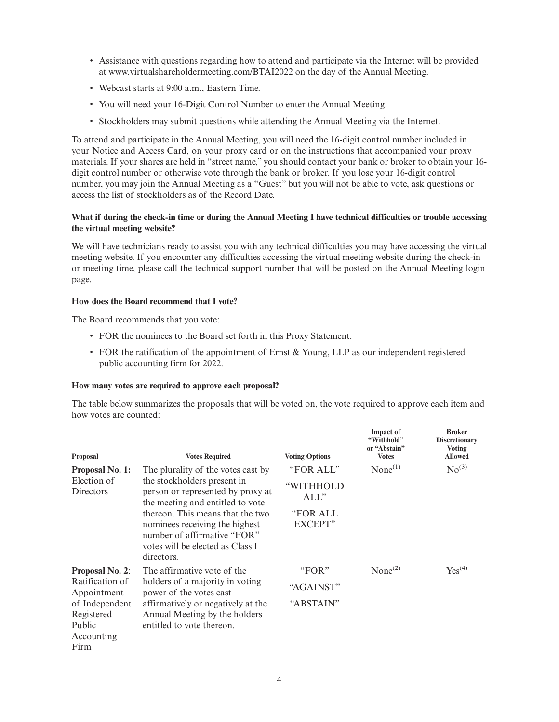- Assistance with questions regarding how to attend and participate via the Internet will be provided at www.virtualshareholdermeeting.com/BTAI2022 on the day of the Annual Meeting.
- Webcast starts at 9:00 a.m., Eastern Time.
- You will need your 16-Digit Control Number to enter the Annual Meeting.
- Stockholders may submit questions while attending the Annual Meeting via the Internet.

To attend and participate in the Annual Meeting, you will need the 16-digit control number included in your Notice and Access Card, on your proxy card or on the instructions that accompanied your proxy materials. If your shares are held in "street name," you should contact your bank or broker to obtain your 16 digit control number or otherwise vote through the bank or broker. If you lose your 16-digit control number, you may join the Annual Meeting as a "Guest" but you will not be able to vote, ask questions or access the list of stockholders as of the Record Date.

### **What if during the check-in time or during the Annual Meeting I have technical difficulties or trouble accessing the virtual meeting website?**

We will have technicians ready to assist you with any technical difficulties you may have accessing the virtual meeting website. If you encounter any difficulties accessing the virtual meeting website during the check-in or meeting time, please call the technical support number that will be posted on the Annual Meeting login page.

### **How does the Board recommend that I vote?**

The Board recommends that you vote:

- FOR the nominees to the Board set forth in this Proxy Statement.
- FOR the ratification of the appointment of Ernst & Young, LLP as our independent registered public accounting firm for 2022.

### **How many votes are required to approve each proposal?**

The table below summarizes the proposals that will be voted on, the vote required to approve each item and how votes are counted:

| Proposal                                             | <b>Votes Required</b>                                                                                                                               | <b>Voting Options</b>      | <b>Impact of</b><br>"Withhold"<br>or "Abstain"<br><b>Votes</b> | <b>Broker</b><br><b>Discretionary</b><br><b>Voting</b><br><b>Allowed</b> |
|------------------------------------------------------|-----------------------------------------------------------------------------------------------------------------------------------------------------|----------------------------|----------------------------------------------------------------|--------------------------------------------------------------------------|
| Proposal No. 1:                                      | The plurality of the votes cast by                                                                                                                  | "FOR ALL"                  | None <sup>(1)</sup>                                            | No <sup>(3)</sup>                                                        |
| Election of<br>Directors                             | the stockholders present in<br>person or represented by proxy at<br>the meeting and entitled to vote                                                | "WITHHOLD<br>$ALL$ "       |                                                                |                                                                          |
|                                                      | thereon. This means that the two<br>nominees receiving the highest<br>number of affirmative "FOR"<br>votes will be elected as Class I<br>directors. | "FOR ALL<br><b>EXCEPT"</b> |                                                                |                                                                          |
| <b>Proposal No. 2:</b>                               | The affirmative vote of the                                                                                                                         | "FOR"                      | None <sup>(2)</sup>                                            | $Yes^{(4)}$                                                              |
| Ratification of<br>Appointment                       | holders of a majority in voting<br>power of the votes cast                                                                                          | "AGAINST"                  |                                                                |                                                                          |
| of Independent<br>Registered<br>Public<br>Accounting | affirmatively or negatively at the<br>Annual Meeting by the holders<br>entitled to vote thereon.                                                    | "ABSTAIN"                  |                                                                |                                                                          |
| Firm                                                 |                                                                                                                                                     |                            |                                                                |                                                                          |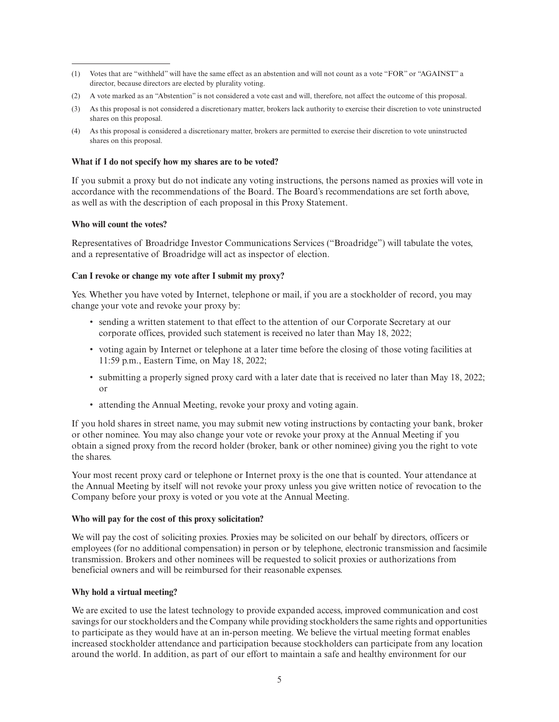- (1) Votes that are "withheld" will have the same effect as an abstention and will not count as a vote "FOR" or "AGAINST" a director, because directors are elected by plurality voting.
- (2) A vote marked as an "Abstention" is not considered a vote cast and will, therefore, not affect the outcome of this proposal.
- (3) As this proposal is not considered a discretionary matter, brokers lack authority to exercise their discretion to vote uninstructed shares on this proposal.
- (4) As this proposal is considered a discretionary matter, brokers are permitted to exercise their discretion to vote uninstructed shares on this proposal.

### **What if I do not specify how my shares are to be voted?**

If you submit a proxy but do not indicate any voting instructions, the persons named as proxies will vote in accordance with the recommendations of the Board. The Board's recommendations are set forth above, as well as with the description of each proposal in this Proxy Statement.

# **Who will count the votes?**

Representatives of Broadridge Investor Communications Services ("Broadridge") will tabulate the votes, and a representative of Broadridge will act as inspector of election.

# **Can I revoke or change my vote after I submit my proxy?**

Yes. Whether you have voted by Internet, telephone or mail, if you are a stockholder of record, you may change your vote and revoke your proxy by:

- sending a written statement to that effect to the attention of our Corporate Secretary at our corporate offices, provided such statement is received no later than May 18, 2022;
- voting again by Internet or telephone at a later time before the closing of those voting facilities at 11:59 p.m., Eastern Time, on May 18, 2022;
- submitting a properly signed proxy card with a later date that is received no later than May 18, 2022; or
- attending the Annual Meeting, revoke your proxy and voting again.

If you hold shares in street name, you may submit new voting instructions by contacting your bank, broker or other nominee. You may also change your vote or revoke your proxy at the Annual Meeting if you obtain a signed proxy from the record holder (broker, bank or other nominee) giving you the right to vote the shares.

Your most recent proxy card or telephone or Internet proxy is the one that is counted. Your attendance at the Annual Meeting by itself will not revoke your proxy unless you give written notice of revocation to the Company before your proxy is voted or you vote at the Annual Meeting.

### **Who will pay for the cost of this proxy solicitation?**

We will pay the cost of soliciting proxies. Proxies may be solicited on our behalf by directors, officers or employees (for no additional compensation) in person or by telephone, electronic transmission and facsimile transmission. Brokers and other nominees will be requested to solicit proxies or authorizations from beneficial owners and will be reimbursed for their reasonable expenses.

### **Why hold a virtual meeting?**

We are excited to use the latest technology to provide expanded access, improved communication and cost savings for our stockholders and the Company while providing stockholders the same rights and opportunities to participate as they would have at an in-person meeting. We believe the virtual meeting format enables increased stockholder attendance and participation because stockholders can participate from any location around the world. In addition, as part of our effort to maintain a safe and healthy environment for our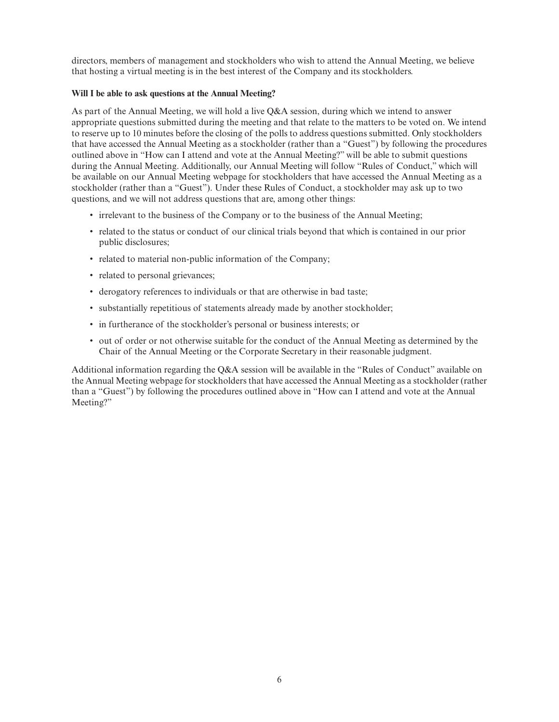directors, members of management and stockholders who wish to attend the Annual Meeting, we believe that hosting a virtual meeting is in the best interest of the Company and its stockholders.

# **Will I be able to ask questions at the Annual Meeting?**

As part of the Annual Meeting, we will hold a live Q&A session, during which we intend to answer appropriate questions submitted during the meeting and that relate to the matters to be voted on. We intend to reserve up to 10 minutes before the closing of the polls to address questions submitted. Only stockholders that have accessed the Annual Meeting as a stockholder (rather than a "Guest") by following the procedures outlined above in "How can I attend and vote at the Annual Meeting?" will be able to submit questions during the Annual Meeting. Additionally, our Annual Meeting will follow "Rules of Conduct," which will be available on our Annual Meeting webpage for stockholders that have accessed the Annual Meeting as a stockholder (rather than a "Guest"). Under these Rules of Conduct, a stockholder may ask up to two questions, and we will not address questions that are, among other things:

- irrelevant to the business of the Company or to the business of the Annual Meeting;
- related to the status or conduct of our clinical trials beyond that which is contained in our prior public disclosures;
- related to material non-public information of the Company;
- related to personal grievances;
- derogatory references to individuals or that are otherwise in bad taste;
- substantially repetitious of statements already made by another stockholder;
- in furtherance of the stockholder's personal or business interests; or
- out of order or not otherwise suitable for the conduct of the Annual Meeting as determined by the Chair of the Annual Meeting or the Corporate Secretary in their reasonable judgment.

Additional information regarding the Q&A session will be available in the "Rules of Conduct" available on the Annual Meeting webpage for stockholders that have accessed the Annual Meeting as a stockholder (rather than a "Guest") by following the procedures outlined above in "How can I attend and vote at the Annual Meeting?"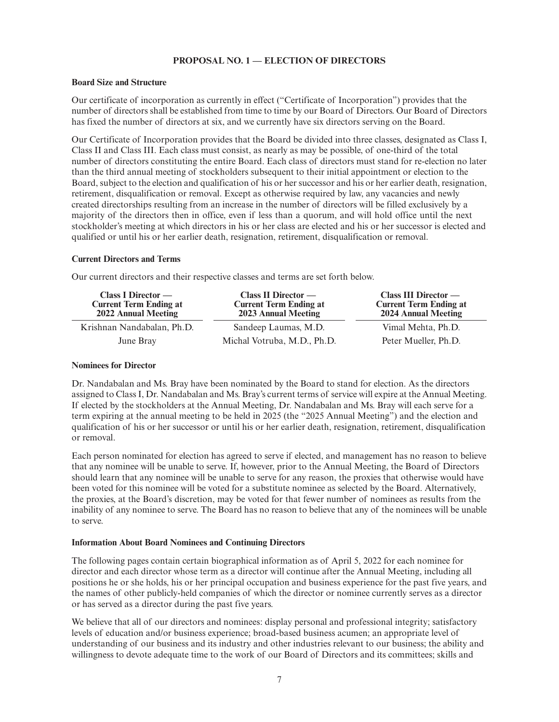# **PROPOSAL NO. 1 — ELECTION OF DIRECTORS**

#### **Board Size and Structure**

Our certificate of incorporation as currently in effect ("Certificate of Incorporation") provides that the number of directors shall be established from time to time by our Board of Directors. Our Board of Directors has fixed the number of directors at six, and we currently have six directors serving on the Board.

Our Certificate of Incorporation provides that the Board be divided into three classes, designated as Class I, Class II and Class III. Each class must consist, as nearly as may be possible, of one-third of the total number of directors constituting the entire Board. Each class of directors must stand for re-election no later than the third annual meeting of stockholders subsequent to their initial appointment or election to the Board, subject to the election and qualification of his or her successor and his or her earlier death, resignation, retirement, disqualification or removal. Except as otherwise required by law, any vacancies and newly created directorships resulting from an increase in the number of directors will be filled exclusively by a majority of the directors then in office, even if less than a quorum, and will hold office until the next stockholder's meeting at which directors in his or her class are elected and his or her successor is elected and qualified or until his or her earlier death, resignation, retirement, disqualification or removal.

#### **Current Directors and Terms**

Our current directors and their respective classes and terms are set forth below.

| Class I Director —<br><b>Current Term Ending at</b><br>2022 Annual Meeting | Class II Director $-$<br><b>Current Term Ending at</b><br>2023 Annual Meeting | $Class III$ Director —<br><b>Current Term Ending at</b><br>2024 Annual Meeting |
|----------------------------------------------------------------------------|-------------------------------------------------------------------------------|--------------------------------------------------------------------------------|
| Krishnan Nandabalan, Ph.D.                                                 | Sandeep Laumas, M.D.                                                          | Vimal Mehta, Ph.D.                                                             |
| June Bray                                                                  | Michal Votruba, M.D., Ph.D.                                                   | Peter Mueller, Ph.D.                                                           |

### **Nominees for Director**

Dr. Nandabalan and Ms. Bray have been nominated by the Board to stand for election. As the directors assigned to Class I, Dr. Nandabalan and Ms. Bray's current terms of service will expire at the Annual Meeting. If elected by the stockholders at the Annual Meeting, Dr. Nandabalan and Ms. Bray will each serve for a term expiring at the annual meeting to be held in 2025 (the "2025 Annual Meeting") and the election and qualification of his or her successor or until his or her earlier death, resignation, retirement, disqualification or removal.

Each person nominated for election has agreed to serve if elected, and management has no reason to believe that any nominee will be unable to serve. If, however, prior to the Annual Meeting, the Board of Directors should learn that any nominee will be unable to serve for any reason, the proxies that otherwise would have been voted for this nominee will be voted for a substitute nominee as selected by the Board. Alternatively, the proxies, at the Board's discretion, may be voted for that fewer number of nominees as results from the inability of any nominee to serve. The Board has no reason to believe that any of the nominees will be unable to serve.

### **Information About Board Nominees and Continuing Directors**

The following pages contain certain biographical information as of April 5, 2022 for each nominee for director and each director whose term as a director will continue after the Annual Meeting, including all positions he or she holds, his or her principal occupation and business experience for the past five years, and the names of other publicly-held companies of which the director or nominee currently serves as a director or has served as a director during the past five years.

We believe that all of our directors and nominees: display personal and professional integrity; satisfactory levels of education and/or business experience; broad-based business acumen; an appropriate level of understanding of our business and its industry and other industries relevant to our business; the ability and willingness to devote adequate time to the work of our Board of Directors and its committees; skills and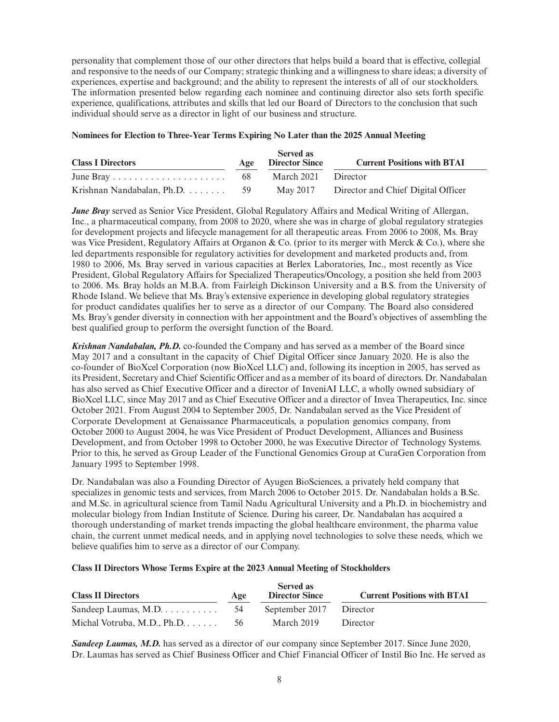personality that complement those of our other directors that helps build a board that is effective, collegial and responsive to the needs of our Company; strategic thinking and a willingness to share ideas; a diversity of experiences, expertise and background; and the ability to represent the interests of all of our stockholders. The information presented below regarding each nominee and continuing director also sets forth specific experience, qualifications, attributes and skills that led our Board of Directors to the conclusion that such individual should serve as a director in light of our business and structure.

# **Nominees for Election to Three-Year Terms Expiring No Later than the 2025 Annual Meeting**

| <b>Class I Directors</b>       | Age | <b>Served as</b><br><b>Director Since</b> | <b>Current Positions with BTAI</b> |
|--------------------------------|-----|-------------------------------------------|------------------------------------|
|                                | -68 | March 2021 Director                       |                                    |
| Krishnan Nandabalan, Ph.D.  59 |     | May 2017                                  | Director and Chief Digital Officer |

*June Bray* served as Senior Vice President, Global Regulatory Affairs and Medical Writing of Allergan, Inc., a pharmaceutical company, from 2008 to 2020, where she was in charge of global regulatory strategies for development projects and lifecycle management for all therapeutic areas. From 2006 to 2008, Ms. Bray was Vice President, Regulatory Affairs at Organon & Co. (prior to its merger with Merck & Co.), where she led departments responsible for regulatory activities for development and marketed products and, from 1980 to 2006, Ms. Bray served in various capacities at Berlex Laboratories, Inc., most recently as Vice President, Global Regulatory Affairs for Specialized Therapeutics/Oncology, a position she held from 2003 to 2006. Ms. Bray holds an M.B.A. from Fairleigh Dickinson University and a B.S. from the University of Rhode Island. We believe that Ms. Bray's extensive experience in developing global regulatory strategies for product candidates qualifies her to serve as a director of our Company. The Board also considered Ms. Bray's gender diversity in connection with her appointment and the Board's objectives of assembling the best qualified group to perform the oversight function of the Board.

*Krishnan Nandabalan, Ph.D.* co-founded the Company and has served as a member of the Board since May 2017 and a consultant in the capacity of Chief Digital Officer since January 2020. He is also the co-founder of BioXcel Corporation (now BioXcel LLC) and, following its inception in 2005, has served as its President, Secretary and Chief Scientific Officer and as a member of its board of directors. Dr. Nandabalan has also served as Chief Executive Officer and a director of InveniAI LLC, a wholly owned subsidiary of BioXcel LLC, since May 2017 and as Chief Executive Officer and a director of Invea Therapeutics, Inc. since October 2021. From August 2004 to September 2005, Dr. Nandabalan served as the Vice President of Corporate Development at Genaissance Pharmaceuticals, a population genomics company, from October 2000 to August 2004, he was Vice President of Product Development, Alliances and Business Development, and from October 1998 to October 2000, he was Executive Director of Technology Systems. Prior to this, he served as Group Leader of the Functional Genomics Group at CuraGen Corporation from January 1995 to September 1998.

Dr. Nandabalan was also a Founding Director of Ayugen BioSciences, a privately held company that specializes in genomic tests and services, from March 2006 to October 2015. Dr. Nandabalan holds a B.Sc. and M.Sc. in agricultural science from Tamil Nadu Agricultural University and a Ph.D. in biochemistry and molecular biology from Indian Institute of Science. During his career, Dr. Nandabalan has acquired a thorough understanding of market trends impacting the global healthcare environment, the pharma value chain, the current unmet medical needs, and in applying novel technologies to solve these needs, which we believe qualifies him to serve as a director of our Company.

# **Class II Directors Whose Terms Expire at the 2023 Annual Meeting of Stockholders**

| <b>Class II Directors</b>                         | Age | <b>Served as</b><br><b>Director Since</b> | <b>Current Positions with BTAI</b> |
|---------------------------------------------------|-----|-------------------------------------------|------------------------------------|
| Sandeep Laumas, M.D. $\dots \dots \dots \dots$ 54 |     | September 2017 Director                   |                                    |
| Michal Votruba, M.D., $Ph.D. \ldots$              | -56 | March 2019                                | Director                           |

*Sandeep Laumas, M.D.* has served as a director of our company since September 2017. Since June 2020, Dr. Laumas has served as Chief Business Officer and Chief Financial Officer of Instil Bio Inc. He served as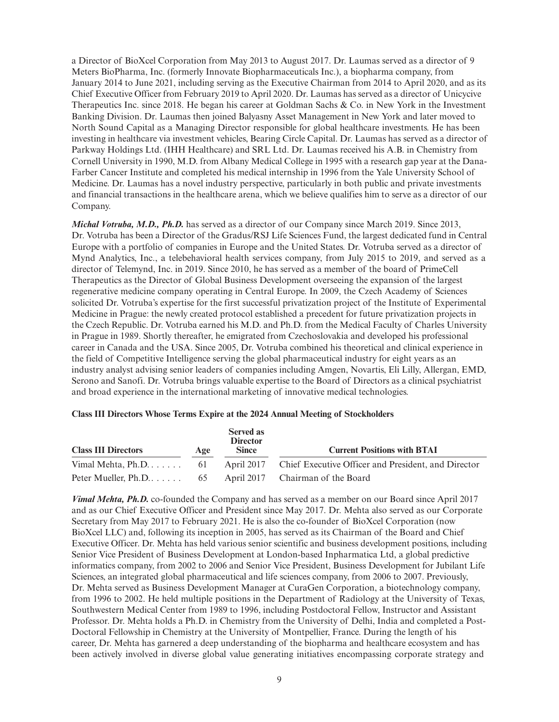a Director of BioXcel Corporation from May 2013 to August 2017. Dr. Laumas served as a director of 9 Meters BioPharma, Inc. (formerly Innovate Biopharmaceuticals Inc.), a biopharma company, from January 2014 to June 2021, including serving as the Executive Chairman from 2014 to April 2020, and as its Chief Executive Officer from February 2019 to April 2020. Dr. Laumas has served as a director of Unicycive Therapeutics Inc. since 2018. He began his career at Goldman Sachs & Co. in New York in the Investment Banking Division. Dr. Laumas then joined Balyasny Asset Management in New York and later moved to North Sound Capital as a Managing Director responsible for global healthcare investments. He has been investing in healthcare via investment vehicles, Bearing Circle Capital. Dr. Laumas has served as a director of Parkway Holdings Ltd. (IHH Healthcare) and SRL Ltd. Dr. Laumas received his A.B. in Chemistry from Cornell University in 1990, M.D. from Albany Medical College in 1995 with a research gap year at the Dana-Farber Cancer Institute and completed his medical internship in 1996 from the Yale University School of Medicine. Dr. Laumas has a novel industry perspective, particularly in both public and private investments and financial transactions in the healthcare arena, which we believe qualifies him to serve as a director of our Company.

*Michal Votruba, M.D., Ph.D.* has served as a director of our Company since March 2019. Since 2013, Dr. Votruba has been a Director of the Gradus/RSJ Life Sciences Fund, the largest dedicated fund in Central Europe with a portfolio of companies in Europe and the United States. Dr. Votruba served as a director of Mynd Analytics, Inc., a telebehavioral health services company, from July 2015 to 2019, and served as a director of Telemynd, Inc. in 2019. Since 2010, he has served as a member of the board of PrimeCell Therapeutics as the Director of Global Business Development overseeing the expansion of the largest regenerative medicine company operating in Central Europe. In 2009, the Czech Academy of Sciences solicited Dr. Votruba's expertise for the first successful privatization project of the Institute of Experimental Medicine in Prague: the newly created protocol established a precedent for future privatization projects in the Czech Republic. Dr. Votruba earned his M.D. and Ph.D. from the Medical Faculty of Charles University in Prague in 1989. Shortly thereafter, he emigrated from Czechoslovakia and developed his professional career in Canada and the USA. Since 2005, Dr. Votruba combined his theoretical and clinical experience in the field of Competitive Intelligence serving the global pharmaceutical industry for eight years as an industry analyst advising senior leaders of companies including Amgen, Novartis, Eli Lilly, Allergan, EMD, Serono and Sanofi. Dr. Votruba brings valuable expertise to the Board of Directors as a clinical psychiatrist and broad experience in the international marketing of innovative medical technologies.

| <b>Class III Directors</b> | Age | <b>Served as</b><br><b>Director</b><br><b>Since</b> | <b>Current Positions with BTAI</b>                             |
|----------------------------|-----|-----------------------------------------------------|----------------------------------------------------------------|
| Vimal Mehta, Ph.D $61$     |     |                                                     | April 2017 Chief Executive Officer and President, and Director |
| Peter Mueller, $Ph.D. 65$  |     |                                                     | April 2017 Chairman of the Board                               |

*Vimal Mehta, Ph.D.* co-founded the Company and has served as a member on our Board since April 2017 and as our Chief Executive Officer and President since May 2017. Dr. Mehta also served as our Corporate Secretary from May 2017 to February 2021. He is also the co-founder of BioXcel Corporation (now BioXcel LLC) and, following its inception in 2005, has served as its Chairman of the Board and Chief Executive Officer. Dr. Mehta has held various senior scientific and business development positions, including Senior Vice President of Business Development at London-based Inpharmatica Ltd, a global predictive informatics company, from 2002 to 2006 and Senior Vice President, Business Development for Jubilant Life Sciences, an integrated global pharmaceutical and life sciences company, from 2006 to 2007. Previously, Dr. Mehta served as Business Development Manager at CuraGen Corporation, a biotechnology company, from 1996 to 2002. He held multiple positions in the Department of Radiology at the University of Texas, Southwestern Medical Center from 1989 to 1996, including Postdoctoral Fellow, Instructor and Assistant Professor. Dr. Mehta holds a Ph.D. in Chemistry from the University of Delhi, India and completed a Post-Doctoral Fellowship in Chemistry at the University of Montpellier, France. During the length of his career, Dr. Mehta has garnered a deep understanding of the biopharma and healthcare ecosystem and has been actively involved in diverse global value generating initiatives encompassing corporate strategy and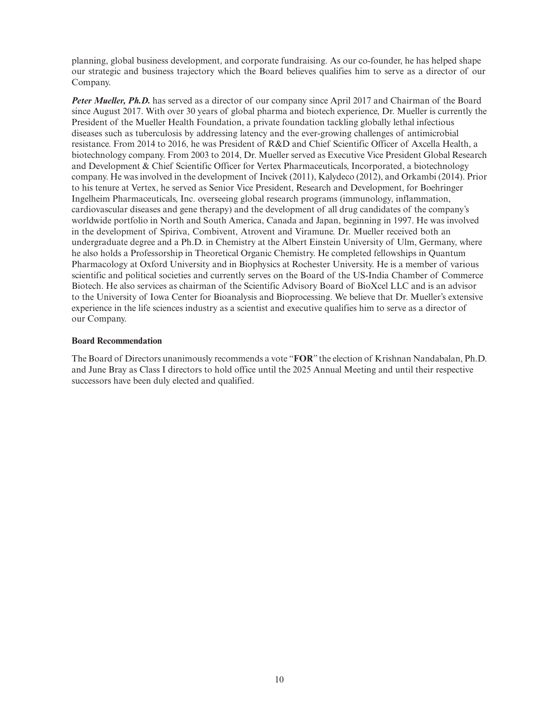planning, global business development, and corporate fundraising. As our co-founder, he has helped shape our strategic and business trajectory which the Board believes qualifies him to serve as a director of our Company.

*Peter Mueller, Ph.D.* has served as a director of our company since April 2017 and Chairman of the Board since August 2017. With over 30 years of global pharma and biotech experience, Dr. Mueller is currently the President of the Mueller Health Foundation, a private foundation tackling globally lethal infectious diseases such as tuberculosis by addressing latency and the ever-growing challenges of antimicrobial resistance. From 2014 to 2016, he was President of R&D and Chief Scientific Officer of Axcella Health, a biotechnology company. From 2003 to 2014, Dr. Mueller served as Executive Vice President Global Research and Development & Chief Scientific Officer for Vertex Pharmaceuticals, Incorporated, a biotechnology company. He was involved in the development of Incivek (2011), Kalydeco (2012), and Orkambi (2014). Prior to his tenure at Vertex, he served as Senior Vice President, Research and Development, for Boehringer Ingelheim Pharmaceuticals, Inc. overseeing global research programs (immunology, inflammation, cardiovascular diseases and gene therapy) and the development of all drug candidates of the company's worldwide portfolio in North and South America, Canada and Japan, beginning in 1997. He was involved in the development of Spiriva, Combivent, Atrovent and Viramune. Dr. Mueller received both an undergraduate degree and a Ph.D. in Chemistry at the Albert Einstein University of Ulm, Germany, where he also holds a Professorship in Theoretical Organic Chemistry. He completed fellowships in Quantum Pharmacology at Oxford University and in Biophysics at Rochester University. He is a member of various scientific and political societies and currently serves on the Board of the US-India Chamber of Commerce Biotech. He also services as chairman of the Scientific Advisory Board of BioXcel LLC and is an advisor to the University of Iowa Center for Bioanalysis and Bioprocessing. We believe that Dr. Mueller's extensive experience in the life sciences industry as a scientist and executive qualifies him to serve as a director of our Company.

### **Board Recommendation**

The Board of Directors unanimously recommends a vote "**FOR**" the election of Krishnan Nandabalan, Ph.D. and June Bray as Class I directors to hold office until the 2025 Annual Meeting and until their respective successors have been duly elected and qualified.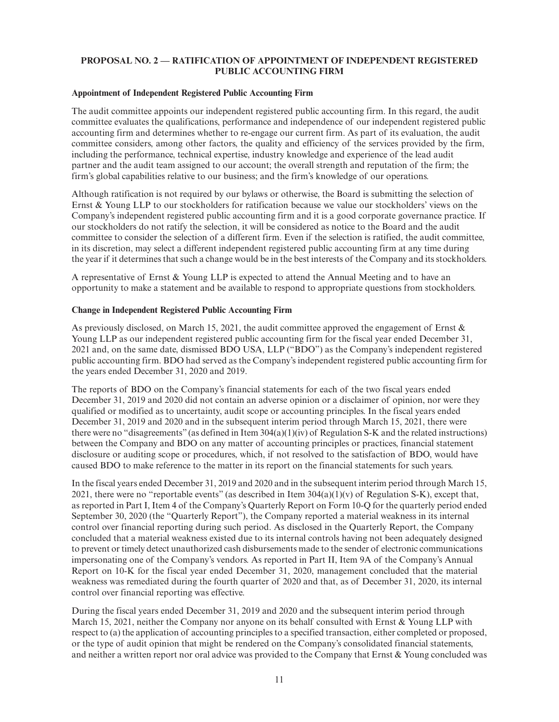# **PROPOSAL NO. 2 — RATIFICATION OF APPOINTMENT OF INDEPENDENT REGISTERED PUBLIC ACCOUNTING FIRM**

### **Appointment of Independent Registered Public Accounting Firm**

The audit committee appoints our independent registered public accounting firm. In this regard, the audit committee evaluates the qualifications, performance and independence of our independent registered public accounting firm and determines whether to re-engage our current firm. As part of its evaluation, the audit committee considers, among other factors, the quality and efficiency of the services provided by the firm, including the performance, technical expertise, industry knowledge and experience of the lead audit partner and the audit team assigned to our account; the overall strength and reputation of the firm; the firm's global capabilities relative to our business; and the firm's knowledge of our operations.

Although ratification is not required by our bylaws or otherwise, the Board is submitting the selection of Ernst & Young LLP to our stockholders for ratification because we value our stockholders' views on the Company's independent registered public accounting firm and it is a good corporate governance practice. If our stockholders do not ratify the selection, it will be considered as notice to the Board and the audit committee to consider the selection of a different firm. Even if the selection is ratified, the audit committee, in its discretion, may select a different independent registered public accounting firm at any time during the year if it determines that such a change would be in the best interests of the Company and its stockholders.

A representative of Ernst & Young LLP is expected to attend the Annual Meeting and to have an opportunity to make a statement and be available to respond to appropriate questions from stockholders.

# **Change in Independent Registered Public Accounting Firm**

As previously disclosed, on March 15, 2021, the audit committee approved the engagement of Ernst  $\&$ Young LLP as our independent registered public accounting firm for the fiscal year ended December 31, 2021 and, on the same date, dismissed BDO USA, LLP ("BDO") as the Company's independent registered public accounting firm. BDO had served as the Company's independent registered public accounting firm for the years ended December 31, 2020 and 2019.

The reports of BDO on the Company's financial statements for each of the two fiscal years ended December 31, 2019 and 2020 did not contain an adverse opinion or a disclaimer of opinion, nor were they qualified or modified as to uncertainty, audit scope or accounting principles. In the fiscal years ended December 31, 2019 and 2020 and in the subsequent interim period through March 15, 2021, there were there were no "disagreements" (as defined in Item 304(a)(1)(iv) of Regulation S-K and the related instructions) between the Company and BDO on any matter of accounting principles or practices, financial statement disclosure or auditing scope or procedures, which, if not resolved to the satisfaction of BDO, would have caused BDO to make reference to the matter in its report on the financial statements for such years.

In the fiscal years ended December 31, 2019 and 2020 and in the subsequent interim period through March 15, 2021, there were no "reportable events" (as described in Item  $304(a)(1)(v)$  of Regulation S-K), except that, as reported in Part I, Item 4 of the Company's Quarterly Report on Form 10-Q for the quarterly period ended September 30, 2020 (the "Quarterly Report"), the Company reported a material weakness in its internal control over financial reporting during such period. As disclosed in the Quarterly Report, the Company concluded that a material weakness existed due to its internal controls having not been adequately designed to prevent or timely detect unauthorized cash disbursements made to the sender of electronic communications impersonating one of the Company's vendors. As reported in Part II, Item 9A of the Company's Annual Report on 10-K for the fiscal year ended December 31, 2020, management concluded that the material weakness was remediated during the fourth quarter of 2020 and that, as of December 31, 2020, its internal control over financial reporting was effective.

During the fiscal years ended December 31, 2019 and 2020 and the subsequent interim period through March 15, 2021, neither the Company nor anyone on its behalf consulted with Ernst & Young LLP with respect to (a) the application of accounting principles to a specified transaction, either completed or proposed, or the type of audit opinion that might be rendered on the Company's consolidated financial statements, and neither a written report nor oral advice was provided to the Company that Ernst & Young concluded was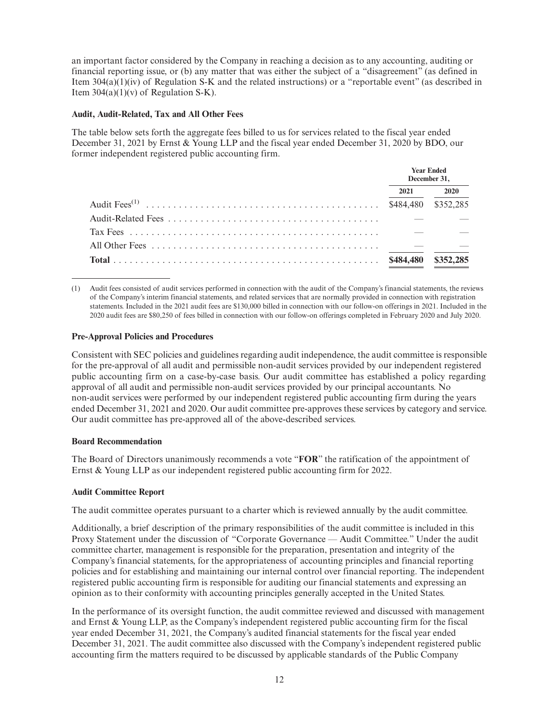an important factor considered by the Company in reaching a decision as to any accounting, auditing or financial reporting issue, or (b) any matter that was either the subject of a "disagreement" (as defined in Item 304(a)(1)(iv) of Regulation S-K and the related instructions) or a "reportable event" (as described in Item  $304(a)(1)(v)$  of Regulation S-K).

# **Audit, Audit-Related, Tax and All Other Fees**

The table below sets forth the aggregate fees billed to us for services related to the fiscal year ended December 31, 2021 by Ernst & Young LLP and the fiscal year ended December 31, 2020 by BDO, our former independent registered public accounting firm.

| <b>Year Ended</b><br>December 31, |           |
|-----------------------------------|-----------|
| 2021                              | 2020      |
| \$484,480                         | \$352,285 |
|                                   |           |
|                                   |           |
|                                   |           |
| \$484,480                         | \$352,285 |

(1) Audit fees consisted of audit services performed in connection with the audit of the Company's financial statements, the reviews of the Company's interim financial statements, and related services that are normally provided in connection with registration statements. Included in the 2021 audit fees are \$130,000 billed in connection with our follow-on offerings in 2021. Included in the 2020 audit fees are \$80,250 of fees billed in connection with our follow-on offerings completed in February 2020 and July 2020.

# **Pre-Approval Policies and Procedures**

Consistent with SEC policies and guidelines regarding audit independence, the audit committee is responsible for the pre-approval of all audit and permissible non-audit services provided by our independent registered public accounting firm on a case-by-case basis. Our audit committee has established a policy regarding approval of all audit and permissible non-audit services provided by our principal accountants. No non-audit services were performed by our independent registered public accounting firm during the years ended December 31, 2021 and 2020. Our audit committee pre-approves these services by category and service. Our audit committee has pre-approved all of the above-described services.

### **Board Recommendation**

The Board of Directors unanimously recommends a vote "**FOR**" the ratification of the appointment of Ernst & Young LLP as our independent registered public accounting firm for 2022.

# **Audit Committee Report**

The audit committee operates pursuant to a charter which is reviewed annually by the audit committee.

Additionally, a brief description of the primary responsibilities of the audit committee is included in this Proxy Statement under the discussion of "Corporate Governance — Audit Committee." Under the audit committee charter, management is responsible for the preparation, presentation and integrity of the Company's financial statements, for the appropriateness of accounting principles and financial reporting policies and for establishing and maintaining our internal control over financial reporting. The independent registered public accounting firm is responsible for auditing our financial statements and expressing an opinion as to their conformity with accounting principles generally accepted in the United States.

In the performance of its oversight function, the audit committee reviewed and discussed with management and Ernst & Young LLP, as the Company's independent registered public accounting firm for the fiscal year ended December 31, 2021, the Company's audited financial statements for the fiscal year ended December 31, 2021. The audit committee also discussed with the Company's independent registered public accounting firm the matters required to be discussed by applicable standards of the Public Company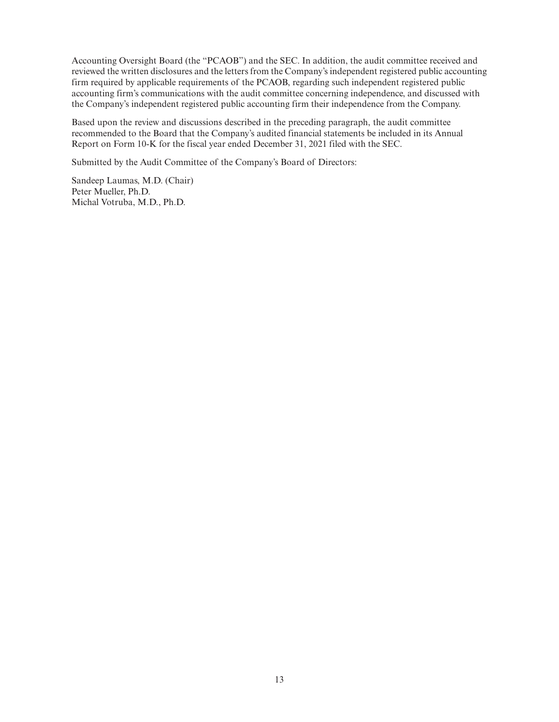Accounting Oversight Board (the "PCAOB") and the SEC. In addition, the audit committee received and reviewed the written disclosures and the letters from the Company's independent registered public accounting firm required by applicable requirements of the PCAOB, regarding such independent registered public accounting firm's communications with the audit committee concerning independence, and discussed with the Company's independent registered public accounting firm their independence from the Company.

Based upon the review and discussions described in the preceding paragraph, the audit committee recommended to the Board that the Company's audited financial statements be included in its Annual Report on Form 10-K for the fiscal year ended December 31, 2021 filed with the SEC.

Submitted by the Audit Committee of the Company's Board of Directors:

Sandeep Laumas, M.D. (Chair) Peter Mueller, Ph.D. Michal Votruba, M.D., Ph.D.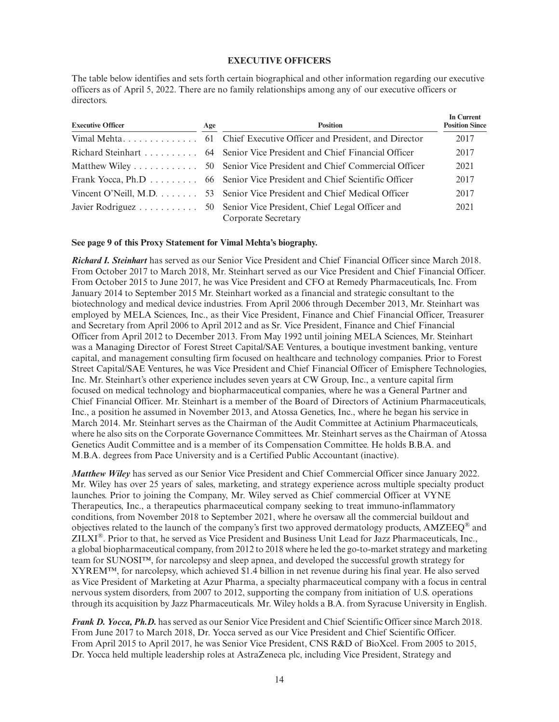### **EXECUTIVE OFFICERS**

The table below identifies and sets forth certain biographical and other information regarding our executive officers as of April 5, 2022. There are no family relationships among any of our executive officers or directors.

| <b>Executive Officer</b> | Age | <b>Position</b>                                                                           | In Current<br><b>Position Since</b> |
|--------------------------|-----|-------------------------------------------------------------------------------------------|-------------------------------------|
|                          |     |                                                                                           | 2017                                |
|                          |     | Richard Steinhart 64 Senior Vice President and Chief Financial Officer                    | 2017                                |
|                          |     |                                                                                           | 2021                                |
|                          |     | Frank Yocca, Ph.D 66 Senior Vice President and Chief Scientific Officer                   | 2017                                |
|                          |     | Vincent O'Neill, M.D. 53 Senior Vice President and Chief Medical Officer                  | 2017                                |
|                          |     | Javier Rodriguez 50 Senior Vice President, Chief Legal Officer and<br>Corporate Secretary | 2021                                |

#### **See page 9 of this Proxy Statement for Vimal Mehta's biography.**

*Richard I. Steinhart* has served as our Senior Vice President and Chief Financial Officer since March 2018. From October 2017 to March 2018, Mr. Steinhart served as our Vice President and Chief Financial Officer. From October 2015 to June 2017, he was Vice President and CFO at Remedy Pharmaceuticals, Inc. From January 2014 to September 2015 Mr. Steinhart worked as a financial and strategic consultant to the biotechnology and medical device industries. From April 2006 through December 2013, Mr. Steinhart was employed by MELA Sciences, Inc., as their Vice President, Finance and Chief Financial Officer, Treasurer and Secretary from April 2006 to April 2012 and as Sr. Vice President, Finance and Chief Financial Officer from April 2012 to December 2013. From May 1992 until joining MELA Sciences, Mr. Steinhart was a Managing Director of Forest Street Capital/SAE Ventures, a boutique investment banking, venture capital, and management consulting firm focused on healthcare and technology companies. Prior to Forest Street Capital/SAE Ventures, he was Vice President and Chief Financial Officer of Emisphere Technologies, Inc. Mr. Steinhart's other experience includes seven years at CW Group, Inc., a venture capital firm focused on medical technology and biopharmaceutical companies, where he was a General Partner and Chief Financial Officer. Mr. Steinhart is a member of the Board of Directors of Actinium Pharmaceuticals, Inc., a position he assumed in November 2013, and Atossa Genetics, Inc., where he began his service in March 2014. Mr. Steinhart serves as the Chairman of the Audit Committee at Actinium Pharmaceuticals, where he also sits on the Corporate Governance Committees. Mr. Steinhart serves as the Chairman of Atossa Genetics Audit Committee and is a member of its Compensation Committee. He holds B.B.A. and M.B.A. degrees from Pace University and is a Certified Public Accountant (inactive).

*Matthew Wiley* has served as our Senior Vice President and Chief Commercial Officer since January 2022. Mr. Wiley has over 25 years of sales, marketing, and strategy experience across multiple specialty product launches. Prior to joining the Company, Mr. Wiley served as Chief commercial Officer at VYNE Therapeutics, Inc., a therapeutics pharmaceutical company seeking to treat immuno-inflammatory conditions, from November 2018 to September 2021, where he oversaw all the commercial buildout and objectives related to the launch of the company's first two approved dermatology products,  $AMZEEO^{\circledast}$  and ZILXI®. Prior to that, he served as Vice President and Business Unit Lead for Jazz Pharmaceuticals, Inc., a global biopharmaceutical company, from 2012 to 2018 where he led the go-to-market strategy and marketing team for SUNOSI™, for narcolepsy and sleep apnea, and developed the successful growth strategy for XYREM™, for narcolepsy, which achieved \$1.4 billion in net revenue during his final year. He also served as Vice President of Marketing at Azur Pharma, a specialty pharmaceutical company with a focus in central nervous system disorders, from 2007 to 2012, supporting the company from initiation of U.S. operations through its acquisition by Jazz Pharmaceuticals. Mr. Wiley holds a B.A. from Syracuse University in English.

*Frank D. Yocca, Ph.D.* has served as our Senior Vice President and Chief Scientific Officer since March 2018. From June 2017 to March 2018, Dr. Yocca served as our Vice President and Chief Scientific Officer. From April 2015 to April 2017, he was Senior Vice President, CNS R&D of BioXcel. From 2005 to 2015, Dr. Yocca held multiple leadership roles at AstraZeneca plc, including Vice President, Strategy and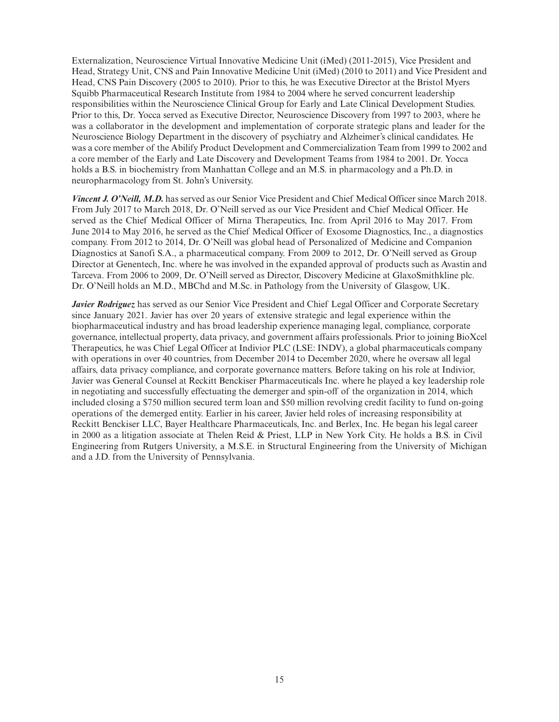Externalization, Neuroscience Virtual Innovative Medicine Unit (iMed) (2011-2015), Vice President and Head, Strategy Unit, CNS and Pain Innovative Medicine Unit (iMed) (2010 to 2011) and Vice President and Head, CNS Pain Discovery (2005 to 2010). Prior to this, he was Executive Director at the Bristol Myers Squibb Pharmaceutical Research Institute from 1984 to 2004 where he served concurrent leadership responsibilities within the Neuroscience Clinical Group for Early and Late Clinical Development Studies. Prior to this, Dr. Yocca served as Executive Director, Neuroscience Discovery from 1997 to 2003, where he was a collaborator in the development and implementation of corporate strategic plans and leader for the Neuroscience Biology Department in the discovery of psychiatry and Alzheimer's clinical candidates. He was a core member of the Abilify Product Development and Commercialization Team from 1999 to 2002 and a core member of the Early and Late Discovery and Development Teams from 1984 to 2001. Dr. Yocca holds a B.S. in biochemistry from Manhattan College and an M.S. in pharmacology and a Ph.D. in neuropharmacology from St. John's University.

*Vincent J. O'Neill, M.D.* has served as our Senior Vice President and Chief Medical Officer since March 2018. From July 2017 to March 2018, Dr. O'Neill served as our Vice President and Chief Medical Officer. He served as the Chief Medical Officer of Mirna Therapeutics, Inc. from April 2016 to May 2017. From June 2014 to May 2016, he served as the Chief Medical Officer of Exosome Diagnostics, Inc., a diagnostics company. From 2012 to 2014, Dr. O'Neill was global head of Personalized of Medicine and Companion Diagnostics at Sanofi S.A., a pharmaceutical company. From 2009 to 2012, Dr. O'Neill served as Group Director at Genentech, Inc. where he was involved in the expanded approval of products such as Avastin and Tarceva. From 2006 to 2009, Dr. O'Neill served as Director, Discovery Medicine at GlaxoSmithkline plc. Dr. O'Neill holds an M.D., MBChd and M.Sc. in Pathology from the University of Glasgow, UK.

*Javier Rodriguez* has served as our Senior Vice President and Chief Legal Officer and Corporate Secretary since January 2021. Javier has over 20 years of extensive strategic and legal experience within the biopharmaceutical industry and has broad leadership experience managing legal, compliance, corporate governance, intellectual property, data privacy, and government affairs professionals. Prior to joining BioXcel Therapeutics, he was Chief Legal Officer at Indivior PLC (LSE: INDV), a global pharmaceuticals company with operations in over 40 countries, from December 2014 to December 2020, where he oversaw all legal affairs, data privacy compliance, and corporate governance matters. Before taking on his role at Indivior, Javier was General Counsel at Reckitt Benckiser Pharmaceuticals Inc. where he played a key leadership role in negotiating and successfully effectuating the demerger and spin-off of the organization in 2014, which included closing a \$750 million secured term loan and \$50 million revolving credit facility to fund on-going operations of the demerged entity. Earlier in his career, Javier held roles of increasing responsibility at Reckitt Benckiser LLC, Bayer Healthcare Pharmaceuticals, Inc. and Berlex, Inc. He began his legal career in 2000 as a litigation associate at Thelen Reid & Priest, LLP in New York City. He holds a B.S. in Civil Engineering from Rutgers University, a M.S.E. in Structural Engineering from the University of Michigan and a J.D. from the University of Pennsylvania.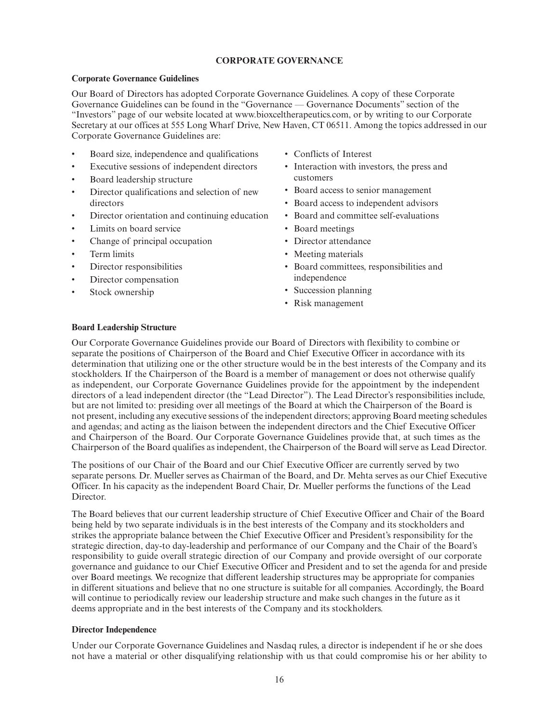# **CORPORATE GOVERNANCE**

# **Corporate Governance Guidelines**

Our Board of Directors has adopted Corporate Governance Guidelines. A copy of these Corporate Governance Guidelines can be found in the "Governance — Governance Documents" section of the "Investors" page of our website located at www.bioxceltherapeutics.com, or by writing to our Corporate Secretary at our offices at 555 Long Wharf Drive, New Haven, CT 06511. Among the topics addressed in our Corporate Governance Guidelines are:

- Board size, independence and qualifications
- Executive sessions of independent directors
- Board leadership structure
- Director qualifications and selection of new directors
- Director orientation and continuing education
- Limits on board service
- Change of principal occupation
- Term limits
- Director responsibilities
- Director compensation
- Stock ownership
- Conflicts of Interest
- Interaction with investors, the press and customers
- Board access to senior management
- Board access to independent advisors
- Board and committee self-evaluations
- Board meetings
- Director attendance
- Meeting materials
- Board committees, responsibilities and independence
- Succession planning
- Risk management

# **Board Leadership Structure**

Our Corporate Governance Guidelines provide our Board of Directors with flexibility to combine or separate the positions of Chairperson of the Board and Chief Executive Officer in accordance with its determination that utilizing one or the other structure would be in the best interests of the Company and its stockholders. If the Chairperson of the Board is a member of management or does not otherwise qualify as independent, our Corporate Governance Guidelines provide for the appointment by the independent directors of a lead independent director (the "Lead Director"). The Lead Director's responsibilities include, but are not limited to: presiding over all meetings of the Board at which the Chairperson of the Board is not present, including any executive sessions of the independent directors; approving Board meeting schedules and agendas; and acting as the liaison between the independent directors and the Chief Executive Officer and Chairperson of the Board. Our Corporate Governance Guidelines provide that, at such times as the Chairperson of the Board qualifies as independent, the Chairperson of the Board will serve as Lead Director.

The positions of our Chair of the Board and our Chief Executive Officer are currently served by two separate persons. Dr. Mueller serves as Chairman of the Board, and Dr. Mehta serves as our Chief Executive Officer. In his capacity as the independent Board Chair, Dr. Mueller performs the functions of the Lead Director.

The Board believes that our current leadership structure of Chief Executive Officer and Chair of the Board being held by two separate individuals is in the best interests of the Company and its stockholders and strikes the appropriate balance between the Chief Executive Officer and President's responsibility for the strategic direction, day-to day-leadership and performance of our Company and the Chair of the Board's responsibility to guide overall strategic direction of our Company and provide oversight of our corporate governance and guidance to our Chief Executive Officer and President and to set the agenda for and preside over Board meetings. We recognize that different leadership structures may be appropriate for companies in different situations and believe that no one structure is suitable for all companies. Accordingly, the Board will continue to periodically review our leadership structure and make such changes in the future as it deems appropriate and in the best interests of the Company and its stockholders.

# **Director Independence**

Under our Corporate Governance Guidelines and Nasdaq rules, a director is independent if he or she does not have a material or other disqualifying relationship with us that could compromise his or her ability to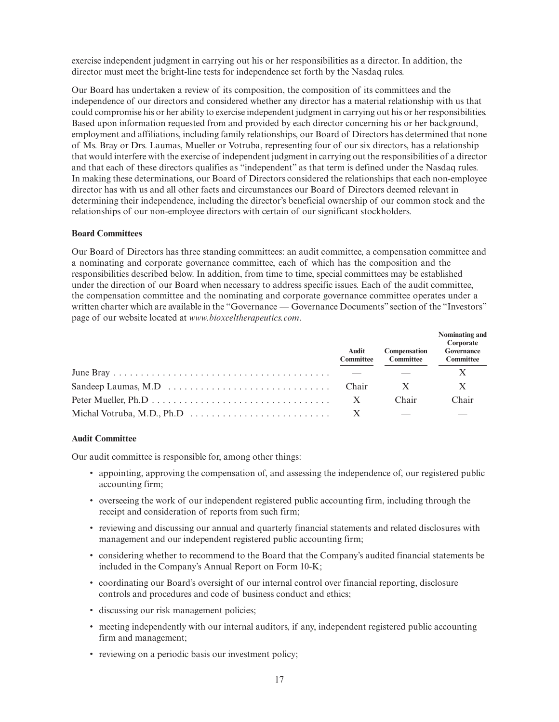exercise independent judgment in carrying out his or her responsibilities as a director. In addition, the director must meet the bright-line tests for independence set forth by the Nasdaq rules.

Our Board has undertaken a review of its composition, the composition of its committees and the independence of our directors and considered whether any director has a material relationship with us that could compromise his or her ability to exercise independent judgment in carrying out his or her responsibilities. Based upon information requested from and provided by each director concerning his or her background, employment and affiliations, including family relationships, our Board of Directors has determined that none of Ms. Bray or Drs. Laumas, Mueller or Votruba, representing four of our six directors, has a relationship that would interfere with the exercise of independent judgment in carrying out the responsibilities of a director and that each of these directors qualifies as "independent" as that term is defined under the Nasdaq rules. In making these determinations, our Board of Directors considered the relationships that each non-employee director has with us and all other facts and circumstances our Board of Directors deemed relevant in determining their independence, including the director's beneficial ownership of our common stock and the relationships of our non-employee directors with certain of our significant stockholders.

### **Board Committees**

Our Board of Directors has three standing committees: an audit committee, a compensation committee and a nominating and corporate governance committee, each of which has the composition and the responsibilities described below. In addition, from time to time, special committees may be established under the direction of our Board when necessary to address specific issues. Each of the audit committee, the compensation committee and the nominating and corporate governance committee operates under a written charter which are available in the "Governance — Governance Documents" section of the "Investors" page of our website located at *www.bioxceltherapeutics.com*.

|                                                                                    | Audit<br><b>Committee</b> | <b>Compensation</b><br><b>Committee</b> | Nominating and<br>Corporate<br>Governance<br><b>Committee</b> |
|------------------------------------------------------------------------------------|---------------------------|-----------------------------------------|---------------------------------------------------------------|
|                                                                                    |                           |                                         |                                                               |
|                                                                                    |                           |                                         |                                                               |
|                                                                                    | $\mathbf{X}$              | Chair                                   | Chair                                                         |
| Michal Votruba, M.D., Ph.D $\dots \dots \dots \dots \dots \dots \dots \dots \dots$ |                           |                                         |                                                               |

### **Audit Committee**

Our audit committee is responsible for, among other things:

- appointing, approving the compensation of, and assessing the independence of, our registered public accounting firm;
- overseeing the work of our independent registered public accounting firm, including through the receipt and consideration of reports from such firm;
- reviewing and discussing our annual and quarterly financial statements and related disclosures with management and our independent registered public accounting firm;
- considering whether to recommend to the Board that the Company's audited financial statements be included in the Company's Annual Report on Form 10-K;
- coordinating our Board's oversight of our internal control over financial reporting, disclosure controls and procedures and code of business conduct and ethics;
- discussing our risk management policies;
- meeting independently with our internal auditors, if any, independent registered public accounting firm and management;
- reviewing on a periodic basis our investment policy;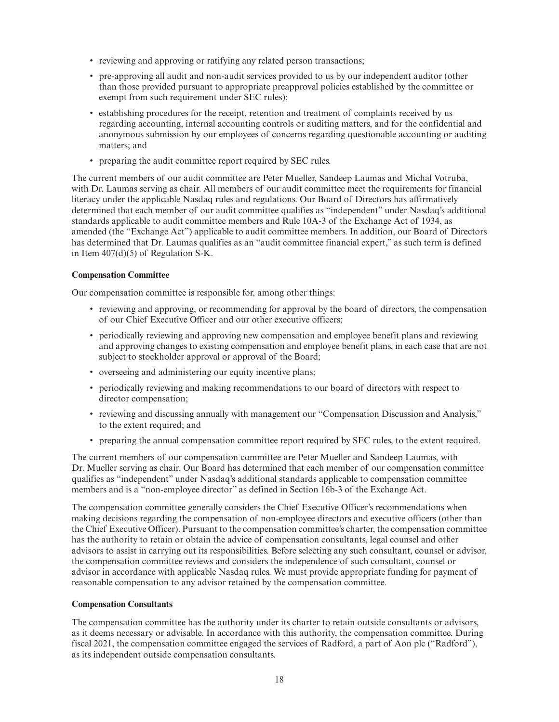- reviewing and approving or ratifying any related person transactions;
- pre-approving all audit and non-audit services provided to us by our independent auditor (other than those provided pursuant to appropriate preapproval policies established by the committee or exempt from such requirement under SEC rules);
- establishing procedures for the receipt, retention and treatment of complaints received by us regarding accounting, internal accounting controls or auditing matters, and for the confidential and anonymous submission by our employees of concerns regarding questionable accounting or auditing matters; and
- preparing the audit committee report required by SEC rules.

The current members of our audit committee are Peter Mueller, Sandeep Laumas and Michal Votruba, with Dr. Laumas serving as chair. All members of our audit committee meet the requirements for financial literacy under the applicable Nasdaq rules and regulations. Our Board of Directors has affirmatively determined that each member of our audit committee qualifies as "independent" under Nasdaq's additional standards applicable to audit committee members and Rule 10A-3 of the Exchange Act of 1934, as amended (the "Exchange Act") applicable to audit committee members. In addition, our Board of Directors has determined that Dr. Laumas qualifies as an "audit committee financial expert," as such term is defined in Item  $407(d)(5)$  of Regulation S-K.

### **Compensation Committee**

Our compensation committee is responsible for, among other things:

- reviewing and approving, or recommending for approval by the board of directors, the compensation of our Chief Executive Officer and our other executive officers;
- periodically reviewing and approving new compensation and employee benefit plans and reviewing and approving changes to existing compensation and employee benefit plans, in each case that are not subject to stockholder approval or approval of the Board;
- overseeing and administering our equity incentive plans;
- periodically reviewing and making recommendations to our board of directors with respect to director compensation;
- reviewing and discussing annually with management our "Compensation Discussion and Analysis," to the extent required; and
- preparing the annual compensation committee report required by SEC rules, to the extent required.

The current members of our compensation committee are Peter Mueller and Sandeep Laumas, with Dr. Mueller serving as chair. Our Board has determined that each member of our compensation committee qualifies as "independent" under Nasdaq's additional standards applicable to compensation committee members and is a "non-employee director" as defined in Section 16b-3 of the Exchange Act.

The compensation committee generally considers the Chief Executive Officer's recommendations when making decisions regarding the compensation of non-employee directors and executive officers (other than the Chief Executive Officer). Pursuant to the compensation committee's charter, the compensation committee has the authority to retain or obtain the advice of compensation consultants, legal counsel and other advisors to assist in carrying out its responsibilities. Before selecting any such consultant, counsel or advisor, the compensation committee reviews and considers the independence of such consultant, counsel or advisor in accordance with applicable Nasdaq rules. We must provide appropriate funding for payment of reasonable compensation to any advisor retained by the compensation committee.

### **Compensation Consultants**

The compensation committee has the authority under its charter to retain outside consultants or advisors, as it deems necessary or advisable. In accordance with this authority, the compensation committee. During fiscal 2021, the compensation committee engaged the services of Radford, a part of Aon plc ("Radford"), as its independent outside compensation consultants.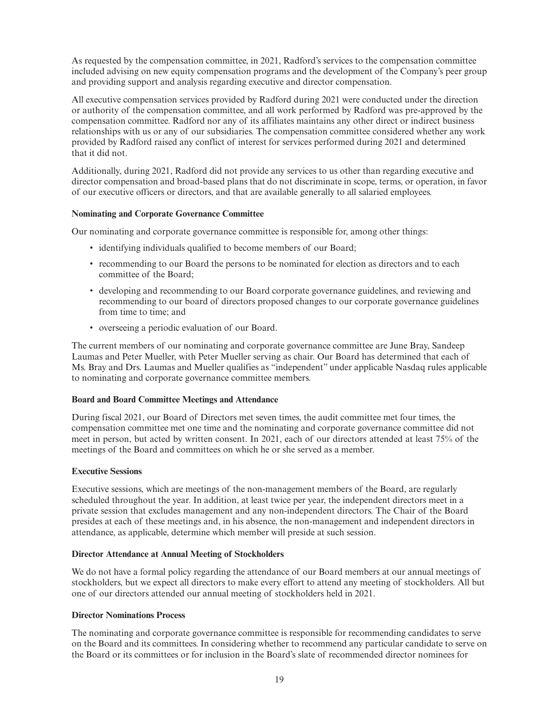As requested by the compensation committee, in 2021, Radford's services to the compensation committee included advising on new equity compensation programs and the development of the Company's peer group and providing support and analysis regarding executive and director compensation.

All executive compensation services provided by Radford during 2021 were conducted under the direction or authority of the compensation committee, and all work performed by Radford was pre-approved by the compensation committee. Radford nor any of its affiliates maintains any other direct or indirect business relationships with us or any of our subsidiaries. The compensation committee considered whether any work provided by Radford raised any conflict of interest for services performed during 2021 and determined that it did not.

Additionally, during 2021, Radford did not provide any services to us other than regarding executive and director compensation and broad-based plans that do not discriminate in scope, terms, or operation, in favor of our executive officers or directors, and that are available generally to all salaried employees.

# **Nominating and Corporate Governance Committee**

Our nominating and corporate governance committee is responsible for, among other things:

- identifying individuals qualified to become members of our Board;
- recommending to our Board the persons to be nominated for election as directors and to each committee of the Board;
- developing and recommending to our Board corporate governance guidelines, and reviewing and recommending to our board of directors proposed changes to our corporate governance guidelines from time to time; and
- overseeing a periodic evaluation of our Board.

The current members of our nominating and corporate governance committee are June Bray, Sandeep Laumas and Peter Mueller, with Peter Mueller serving as chair. Our Board has determined that each of Ms. Bray and Drs. Laumas and Mueller qualifies as "independent" under applicable Nasdaq rules applicable to nominating and corporate governance committee members.

### **Board and Board Committee Meetings and Attendance**

During fiscal 2021, our Board of Directors met seven times, the audit committee met four times, the compensation committee met one time and the nominating and corporate governance committee did not meet in person, but acted by written consent. In 2021, each of our directors attended at least 75% of the meetings of the Board and committees on which he or she served as a member.

### **Executive Sessions**

Executive sessions, which are meetings of the non-management members of the Board, are regularly scheduled throughout the year. In addition, at least twice per year, the independent directors meet in a private session that excludes management and any non-independent directors. The Chair of the Board presides at each of these meetings and, in his absence, the non-management and independent directors in attendance, as applicable, determine which member will preside at such session.

### **Director Attendance at Annual Meeting of Stockholders**

We do not have a formal policy regarding the attendance of our Board members at our annual meetings of stockholders, but we expect all directors to make every effort to attend any meeting of stockholders. All but one of our directors attended our annual meeting of stockholders held in 2021.

### **Director Nominations Process**

The nominating and corporate governance committee is responsible for recommending candidates to serve on the Board and its committees. In considering whether to recommend any particular candidate to serve on the Board or its committees or for inclusion in the Board's slate of recommended director nominees for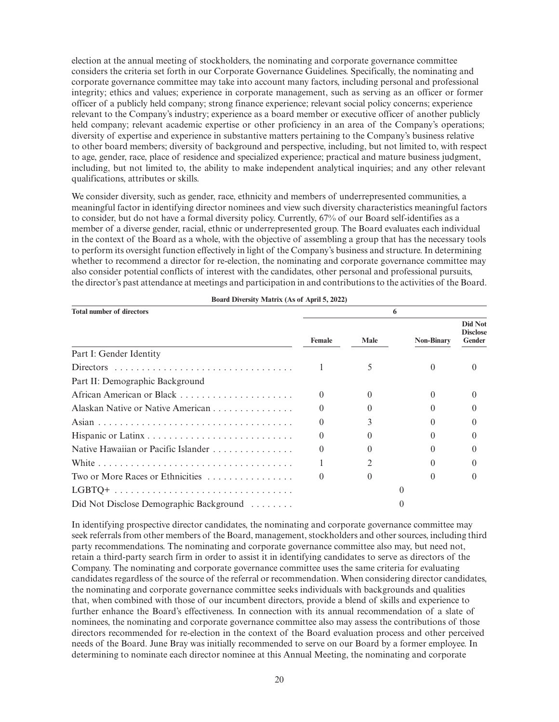election at the annual meeting of stockholders, the nominating and corporate governance committee considers the criteria set forth in our Corporate Governance Guidelines. Specifically, the nominating and corporate governance committee may take into account many factors, including personal and professional integrity; ethics and values; experience in corporate management, such as serving as an officer or former officer of a publicly held company; strong finance experience; relevant social policy concerns; experience relevant to the Company's industry; experience as a board member or executive officer of another publicly held company; relevant academic expertise or other proficiency in an area of the Company's operations; diversity of expertise and experience in substantive matters pertaining to the Company's business relative to other board members; diversity of background and perspective, including, but not limited to, with respect to age, gender, race, place of residence and specialized experience; practical and mature business judgment, including, but not limited to, the ability to make independent analytical inquiries; and any other relevant qualifications, attributes or skills.

We consider diversity, such as gender, race, ethnicity and members of underrepresented communities, a meaningful factor in identifying director nominees and view such diversity characteristics meaningful factors to consider, but do not have a formal diversity policy. Currently, 67% of our Board self-identifies as a member of a diverse gender, racial, ethnic or underrepresented group. The Board evaluates each individual in the context of the Board as a whole, with the objective of assembling a group that has the necessary tools to perform its oversight function effectively in light of the Company's business and structure. In determining whether to recommend a director for re-election, the nominating and corporate governance committee may also consider potential conflicts of interest with the candidates, other personal and professional pursuits, the director's past attendance at meetings and participation in and contributions to the activities of the Board.

| <b>Total number of directors</b>        |          |             |                   |                                      |  |
|-----------------------------------------|----------|-------------|-------------------|--------------------------------------|--|
|                                         | Female   | <b>Male</b> | <b>Non-Binary</b> | Did Not<br><b>Disclose</b><br>Gender |  |
| Part I: Gender Identity                 |          |             |                   |                                      |  |
| Directors                               |          |             | 0                 |                                      |  |
| Part II: Demographic Background         |          |             |                   |                                      |  |
|                                         | $\Omega$ |             | $\Omega$          |                                      |  |
| Alaskan Native or Native American       |          |             |                   |                                      |  |
|                                         |          |             |                   |                                      |  |
|                                         |          |             |                   |                                      |  |
| Native Hawaiian or Pacific Islander     |          |             |                   |                                      |  |
|                                         |          |             |                   |                                      |  |
|                                         |          |             |                   |                                      |  |
|                                         |          |             |                   |                                      |  |
| Did Not Disclose Demographic Background |          |             |                   |                                      |  |

**Board Diversity Matrix (As of April 5, 2022)**

In identifying prospective director candidates, the nominating and corporate governance committee may seek referrals from other members of the Board, management, stockholders and other sources, including third party recommendations. The nominating and corporate governance committee also may, but need not, retain a third-party search firm in order to assist it in identifying candidates to serve as directors of the Company. The nominating and corporate governance committee uses the same criteria for evaluating candidates regardless of the source of the referral or recommendation. When considering director candidates, the nominating and corporate governance committee seeks individuals with backgrounds and qualities that, when combined with those of our incumbent directors, provide a blend of skills and experience to further enhance the Board's effectiveness. In connection with its annual recommendation of a slate of nominees, the nominating and corporate governance committee also may assess the contributions of those directors recommended for re-election in the context of the Board evaluation process and other perceived needs of the Board. June Bray was initially recommended to serve on our Board by a former employee. In determining to nominate each director nominee at this Annual Meeting, the nominating and corporate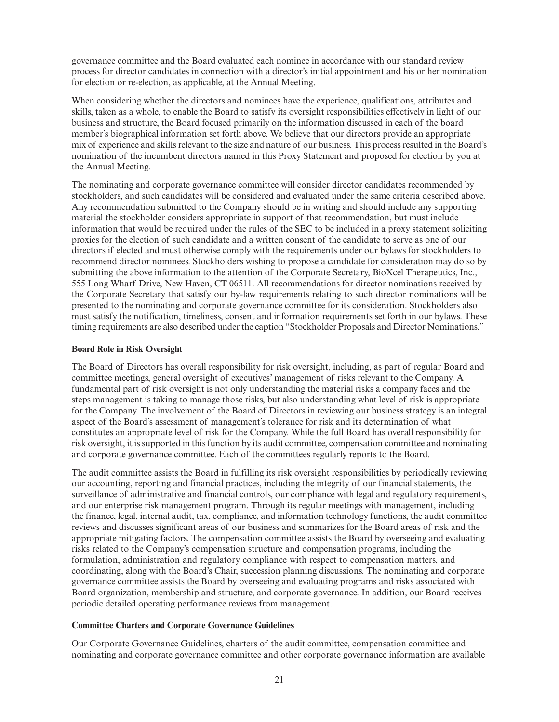governance committee and the Board evaluated each nominee in accordance with our standard review process for director candidates in connection with a director's initial appointment and his or her nomination for election or re-election, as applicable, at the Annual Meeting.

When considering whether the directors and nominees have the experience, qualifications, attributes and skills, taken as a whole, to enable the Board to satisfy its oversight responsibilities effectively in light of our business and structure, the Board focused primarily on the information discussed in each of the board member's biographical information set forth above. We believe that our directors provide an appropriate mix of experience and skills relevant to the size and nature of our business. This process resulted in the Board's nomination of the incumbent directors named in this Proxy Statement and proposed for election by you at the Annual Meeting.

The nominating and corporate governance committee will consider director candidates recommended by stockholders, and such candidates will be considered and evaluated under the same criteria described above. Any recommendation submitted to the Company should be in writing and should include any supporting material the stockholder considers appropriate in support of that recommendation, but must include information that would be required under the rules of the SEC to be included in a proxy statement soliciting proxies for the election of such candidate and a written consent of the candidate to serve as one of our directors if elected and must otherwise comply with the requirements under our bylaws for stockholders to recommend director nominees. Stockholders wishing to propose a candidate for consideration may do so by submitting the above information to the attention of the Corporate Secretary, BioXcel Therapeutics, Inc., 555 Long Wharf Drive, New Haven, CT 06511. All recommendations for director nominations received by the Corporate Secretary that satisfy our by-law requirements relating to such director nominations will be presented to the nominating and corporate governance committee for its consideration. Stockholders also must satisfy the notification, timeliness, consent and information requirements set forth in our bylaws. These timing requirements are also described under the caption "Stockholder Proposals and Director Nominations."

# **Board Role in Risk Oversight**

The Board of Directors has overall responsibility for risk oversight, including, as part of regular Board and committee meetings, general oversight of executives' management of risks relevant to the Company. A fundamental part of risk oversight is not only understanding the material risks a company faces and the steps management is taking to manage those risks, but also understanding what level of risk is appropriate for the Company. The involvement of the Board of Directors in reviewing our business strategy is an integral aspect of the Board's assessment of management's tolerance for risk and its determination of what constitutes an appropriate level of risk for the Company. While the full Board has overall responsibility for risk oversight, it is supported in this function by its audit committee, compensation committee and nominating and corporate governance committee. Each of the committees regularly reports to the Board.

The audit committee assists the Board in fulfilling its risk oversight responsibilities by periodically reviewing our accounting, reporting and financial practices, including the integrity of our financial statements, the surveillance of administrative and financial controls, our compliance with legal and regulatory requirements, and our enterprise risk management program. Through its regular meetings with management, including the finance, legal, internal audit, tax, compliance, and information technology functions, the audit committee reviews and discusses significant areas of our business and summarizes for the Board areas of risk and the appropriate mitigating factors. The compensation committee assists the Board by overseeing and evaluating risks related to the Company's compensation structure and compensation programs, including the formulation, administration and regulatory compliance with respect to compensation matters, and coordinating, along with the Board's Chair, succession planning discussions. The nominating and corporate governance committee assists the Board by overseeing and evaluating programs and risks associated with Board organization, membership and structure, and corporate governance. In addition, our Board receives periodic detailed operating performance reviews from management.

# **Committee Charters and Corporate Governance Guidelines**

Our Corporate Governance Guidelines, charters of the audit committee, compensation committee and nominating and corporate governance committee and other corporate governance information are available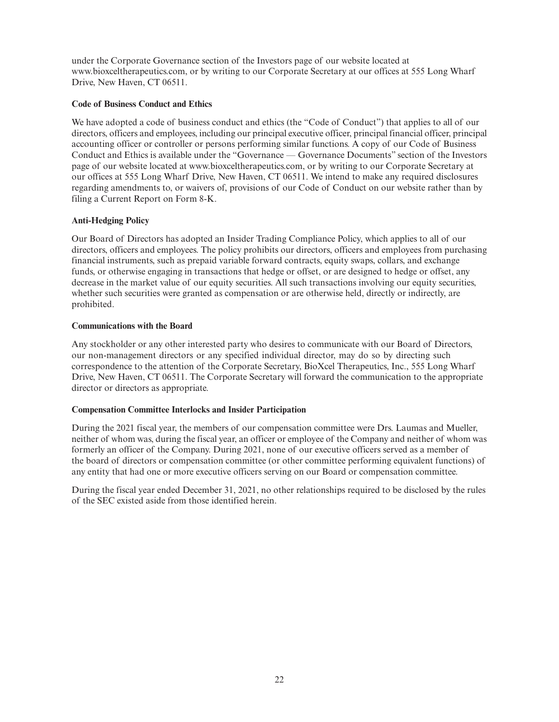under the Corporate Governance section of the Investors page of our website located at www.bioxceltherapeutics.com, or by writing to our Corporate Secretary at our offices at 555 Long Wharf Drive, New Haven, CT 06511.

# **Code of Business Conduct and Ethics**

We have adopted a code of business conduct and ethics (the "Code of Conduct") that applies to all of our directors, officers and employees, including our principal executive officer, principal financial officer, principal accounting officer or controller or persons performing similar functions. A copy of our Code of Business Conduct and Ethics is available under the "Governance — Governance Documents" section of the Investors page of our website located at www.bioxceltherapeutics.com, or by writing to our Corporate Secretary at our offices at 555 Long Wharf Drive, New Haven, CT 06511. We intend to make any required disclosures regarding amendments to, or waivers of, provisions of our Code of Conduct on our website rather than by filing a Current Report on Form 8-K.

# **Anti-Hedging Policy**

Our Board of Directors has adopted an Insider Trading Compliance Policy, which applies to all of our directors, officers and employees. The policy prohibits our directors, officers and employees from purchasing financial instruments, such as prepaid variable forward contracts, equity swaps, collars, and exchange funds, or otherwise engaging in transactions that hedge or offset, or are designed to hedge or offset, any decrease in the market value of our equity securities. All such transactions involving our equity securities, whether such securities were granted as compensation or are otherwise held, directly or indirectly, are prohibited.

### **Communications with the Board**

Any stockholder or any other interested party who desires to communicate with our Board of Directors, our non-management directors or any specified individual director, may do so by directing such correspondence to the attention of the Corporate Secretary, BioXcel Therapeutics, Inc., 555 Long Wharf Drive, New Haven, CT 06511. The Corporate Secretary will forward the communication to the appropriate director or directors as appropriate.

### **Compensation Committee Interlocks and Insider Participation**

During the 2021 fiscal year, the members of our compensation committee were Drs. Laumas and Mueller, neither of whom was, during the fiscal year, an officer or employee of the Company and neither of whom was formerly an officer of the Company. During 2021, none of our executive officers served as a member of the board of directors or compensation committee (or other committee performing equivalent functions) of any entity that had one or more executive officers serving on our Board or compensation committee.

During the fiscal year ended December 31, 2021, no other relationships required to be disclosed by the rules of the SEC existed aside from those identified herein.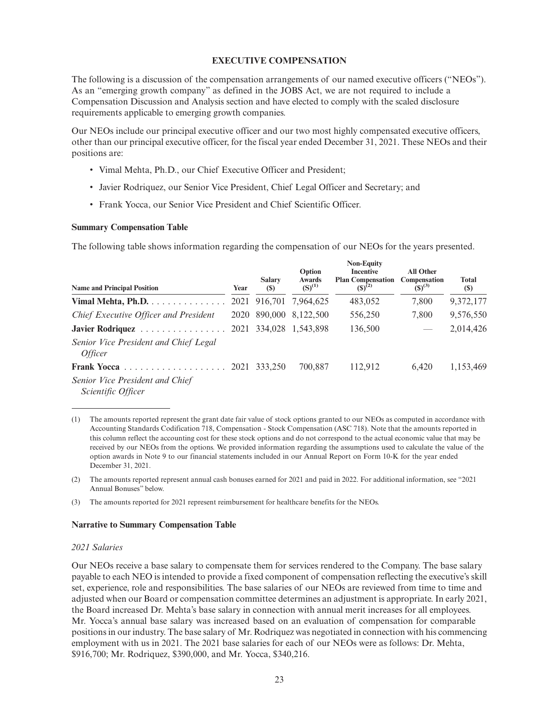### **EXECUTIVE COMPENSATION**

The following is a discussion of the compensation arrangements of our named executive officers ("NEOs"). As an "emerging growth company" as defined in the JOBS Act, we are not required to include a Compensation Discussion and Analysis section and have elected to comply with the scaled disclosure requirements applicable to emerging growth companies.

Our NEOs include our principal executive officer and our two most highly compensated executive officers, other than our principal executive officer, for the fiscal year ended December 31, 2021. These NEOs and their positions are:

- Vimal Mehta, Ph.D., our Chief Executive Officer and President;
- Javier Rodriquez, our Senior Vice President, Chief Legal Officer and Secretary; and
- Frank Yocca, our Senior Vice President and Chief Scientific Officer.

#### **Summary Compensation Table**

The following table shows information regarding the compensation of our NEOs for the years presented.

|                                                         |      |                             | Option                       | <b>Non-Equity</b><br><b>Incentive</b>   | <b>All Other</b>            |                             |
|---------------------------------------------------------|------|-----------------------------|------------------------------|-----------------------------------------|-----------------------------|-----------------------------|
| <b>Name and Principal Position</b>                      | Year | <b>Salary</b><br><b>(S)</b> | <b>Awards</b><br>$(S)^{(1)}$ | <b>Plan Compensation</b><br>$(S)^{(2)}$ | Compensation<br>$(S)^{(3)}$ | <b>Total</b><br><b>(\$)</b> |
| Vimal Mehta, Ph.D.                                      |      |                             | 2021 916,701 7,964,625       | 483,052                                 | 7,800                       | 9,372,177                   |
| Chief Executive Officer and President                   | 2020 |                             | 890,000 8,122,500            | 556,250                                 | 7,800                       | 9,576,550                   |
| Javier Rodriquez                                        | 2021 |                             | 334,028 1,543,898            | 136,500                                 | $\overline{\phantom{a}}$    | 2,014,426                   |
| Senior Vice President and Chief Legal<br><i>Officer</i> |      |                             |                              |                                         |                             |                             |
|                                                         | 2021 | 333.250                     | 700.887                      | 112.912                                 | 6,420                       | 1,153,469                   |
| Senior Vice President and Chief<br>Scientific Officer   |      |                             |                              |                                         |                             |                             |

<sup>(1)</sup> The amounts reported represent the grant date fair value of stock options granted to our NEOs as computed in accordance with Accounting Standards Codification 718, Compensation - Stock Compensation (ASC 718). Note that the amounts reported in this column reflect the accounting cost for these stock options and do not correspond to the actual economic value that may be received by our NEOs from the options. We provided information regarding the assumptions used to calculate the value of the option awards in Note 9 to our financial statements included in our Annual Report on Form 10-K for the year ended December 31, 2021.

(2) The amounts reported represent annual cash bonuses earned for 2021 and paid in 2022. For additional information, see "2021 Annual Bonuses" below.

#### **Narrative to Summary Compensation Table**

#### *2021 Salaries*

Our NEOs receive a base salary to compensate them for services rendered to the Company. The base salary payable to each NEO is intended to provide a fixed component of compensation reflecting the executive's skill set, experience, role and responsibilities. The base salaries of our NEOs are reviewed from time to time and adjusted when our Board or compensation committee determines an adjustment is appropriate. In early 2021, the Board increased Dr. Mehta's base salary in connection with annual merit increases for all employees. Mr. Yocca's annual base salary was increased based on an evaluation of compensation for comparable positions in our industry. The base salary of Mr. Rodriquez was negotiated in connection with his commencing employment with us in 2021. The 2021 base salaries for each of our NEOs were as follows: Dr. Mehta, \$916,700; Mr. Rodriquez, \$390,000, and Mr. Yocca, \$340,216.

<sup>(3)</sup> The amounts reported for 2021 represent reimbursement for healthcare benefits for the NEOs.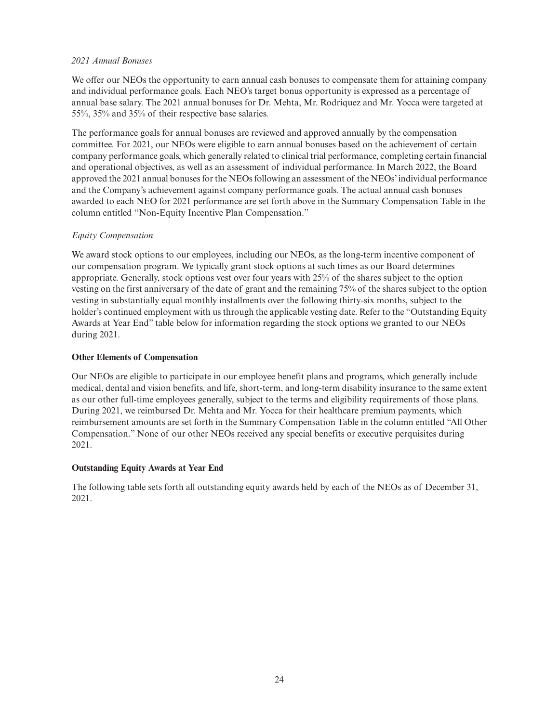# *2021 Annual Bonuses*

We offer our NEOs the opportunity to earn annual cash bonuses to compensate them for attaining company and individual performance goals. Each NEO's target bonus opportunity is expressed as a percentage of annual base salary. The 2021 annual bonuses for Dr. Mehta, Mr. Rodriquez and Mr. Yocca were targeted at 55%, 35% and 35% of their respective base salaries.

The performance goals for annual bonuses are reviewed and approved annually by the compensation committee. For 2021, our NEOs were eligible to earn annual bonuses based on the achievement of certain company performance goals, which generally related to clinical trial performance, completing certain financial and operational objectives, as well as an assessment of individual performance. In March 2022, the Board approved the 2021 annual bonuses for the NEOs following an assessment of the NEOs' individual performance and the Company's achievement against company performance goals. The actual annual cash bonuses awarded to each NEO for 2021 performance are set forth above in the Summary Compensation Table in the column entitled "Non-Equity Incentive Plan Compensation."

# *Equity Compensation*

We award stock options to our employees, including our NEOs, as the long-term incentive component of our compensation program. We typically grant stock options at such times as our Board determines appropriate. Generally, stock options vest over four years with 25% of the shares subject to the option vesting on the first anniversary of the date of grant and the remaining 75% of the shares subject to the option vesting in substantially equal monthly installments over the following thirty-six months, subject to the holder's continued employment with us through the applicable vesting date. Refer to the "Outstanding Equity Awards at Year End" table below for information regarding the stock options we granted to our NEOs during 2021.

### **Other Elements of Compensation**

Our NEOs are eligible to participate in our employee benefit plans and programs, which generally include medical, dental and vision benefits, and life, short-term, and long-term disability insurance to the same extent as our other full-time employees generally, subject to the terms and eligibility requirements of those plans. During 2021, we reimbursed Dr. Mehta and Mr. Yocca for their healthcare premium payments, which reimbursement amounts are set forth in the Summary Compensation Table in the column entitled "All Other Compensation." None of our other NEOs received any special benefits or executive perquisites during 2021.

# **Outstanding Equity Awards at Year End**

The following table sets forth all outstanding equity awards held by each of the NEOs as of December 31, 2021.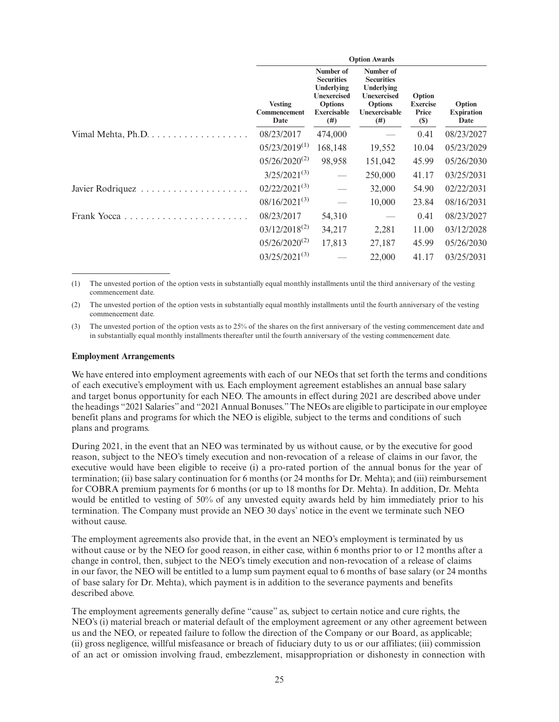|             | <b>Option Awards</b>                          |                                                                                                                    |                                                                                                              |                                                   |                                     |
|-------------|-----------------------------------------------|--------------------------------------------------------------------------------------------------------------------|--------------------------------------------------------------------------------------------------------------|---------------------------------------------------|-------------------------------------|
|             | <b>Vesting</b><br><b>Commencement</b><br>Date | Number of<br><b>Securities</b><br>Underlying<br><b>Unexercised</b><br><b>Options</b><br><b>Exercisable</b><br>(# ) | Number of<br><b>Securities</b><br>Underlying<br><b>Unexercised</b><br><b>Options</b><br>Unexercisable<br>(#) | Option<br><b>Exercise</b><br>Price<br><b>(\$)</b> | Option<br><b>Expiration</b><br>Date |
|             | 08/23/2017                                    | 474,000                                                                                                            |                                                                                                              | 0.41                                              | 08/23/2027                          |
|             | $05/23/2019^{(1)}$                            | 168,148                                                                                                            | 19,552                                                                                                       | 10.04                                             | 05/23/2029                          |
|             | $05/26/2020^{(2)}$                            | 98,958                                                                                                             | 151,042                                                                                                      | 45.99                                             | 05/26/2030                          |
|             | $3/25/2021^{(3)}$                             |                                                                                                                    | 250,000                                                                                                      | 41.17                                             | 03/25/2031                          |
|             | $02/22/2021^{(3)}$                            |                                                                                                                    | 32,000                                                                                                       | 54.90                                             | 02/22/2031                          |
|             | $08/16/2021^{(3)}$                            |                                                                                                                    | 10,000                                                                                                       | 23.84                                             | 08/16/2031                          |
| Frank Yocca | 08/23/2017                                    | 54,310                                                                                                             |                                                                                                              | 0.41                                              | 08/23/2027                          |
|             | $03/12/2018^{(2)}$                            | 34,217                                                                                                             | 2,281                                                                                                        | 11.00                                             | 03/12/2028                          |
|             | $05/26/2020^{(2)}$                            | 17,813                                                                                                             | 27,187                                                                                                       | 45.99                                             | 05/26/2030                          |
|             | $03/25/2021^{(3)}$                            |                                                                                                                    | 22,000                                                                                                       | 41.17                                             | 03/25/2031                          |

(1) The unvested portion of the option vests in substantially equal monthly installments until the third anniversary of the vesting commencement date.

(2) The unvested portion of the option vests in substantially equal monthly installments until the fourth anniversary of the vesting commencement date.

(3) The unvested portion of the option vests as to 25% of the shares on the first anniversary of the vesting commencement date and in substantially equal monthly installments thereafter until the fourth anniversary of the vesting commencement date.

#### **Employment Arrangements**

We have entered into employment agreements with each of our NEOs that set forth the terms and conditions of each executive's employment with us. Each employment agreement establishes an annual base salary and target bonus opportunity for each NEO. The amounts in effect during 2021 are described above under the headings "2021 Salaries" and "2021 Annual Bonuses."The NEOs are eligible to participate in our employee benefit plans and programs for which the NEO is eligible, subject to the terms and conditions of such plans and programs.

During 2021, in the event that an NEO was terminated by us without cause, or by the executive for good reason, subject to the NEO's timely execution and non-revocation of a release of claims in our favor, the executive would have been eligible to receive (i) a pro-rated portion of the annual bonus for the year of termination; (ii) base salary continuation for 6 months (or 24 months for Dr. Mehta); and (iii) reimbursement for COBRA premium payments for 6 months (or up to 18 months for Dr. Mehta). In addition, Dr. Mehta would be entitled to vesting of 50% of any unvested equity awards held by him immediately prior to his termination. The Company must provide an NEO 30 days' notice in the event we terminate such NEO without cause.

The employment agreements also provide that, in the event an NEO's employment is terminated by us without cause or by the NEO for good reason, in either case, within 6 months prior to or 12 months after a change in control, then, subject to the NEO's timely execution and non-revocation of a release of claims in our favor, the NEO will be entitled to a lump sum payment equal to 6 months of base salary (or 24 months of base salary for Dr. Mehta), which payment is in addition to the severance payments and benefits described above.

The employment agreements generally define "cause" as, subject to certain notice and cure rights, the NEO's (i) material breach or material default of the employment agreement or any other agreement between us and the NEO, or repeated failure to follow the direction of the Company or our Board, as applicable; (ii) gross negligence, willful misfeasance or breach of fiduciary duty to us or our affiliates; (iii) commission of an act or omission involving fraud, embezzlement, misappropriation or dishonesty in connection with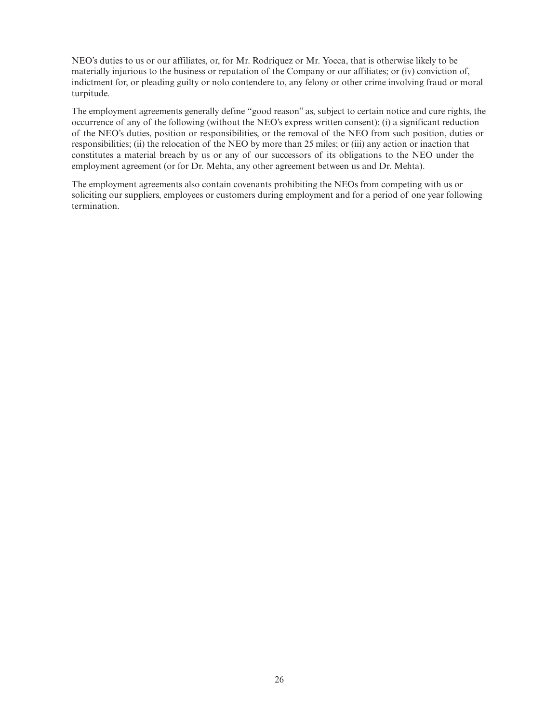NEO's duties to us or our affiliates, or, for Mr. Rodriquez or Mr. Yocca, that is otherwise likely to be materially injurious to the business or reputation of the Company or our affiliates; or (iv) conviction of, indictment for, or pleading guilty or nolo contendere to, any felony or other crime involving fraud or moral turpitude.

The employment agreements generally define "good reason" as, subject to certain notice and cure rights, the occurrence of any of the following (without the NEO's express written consent): (i) a significant reduction of the NEO's duties, position or responsibilities, or the removal of the NEO from such position, duties or responsibilities; (ii) the relocation of the NEO by more than 25 miles; or (iii) any action or inaction that constitutes a material breach by us or any of our successors of its obligations to the NEO under the employment agreement (or for Dr. Mehta, any other agreement between us and Dr. Mehta).

The employment agreements also contain covenants prohibiting the NEOs from competing with us or soliciting our suppliers, employees or customers during employment and for a period of one year following termination.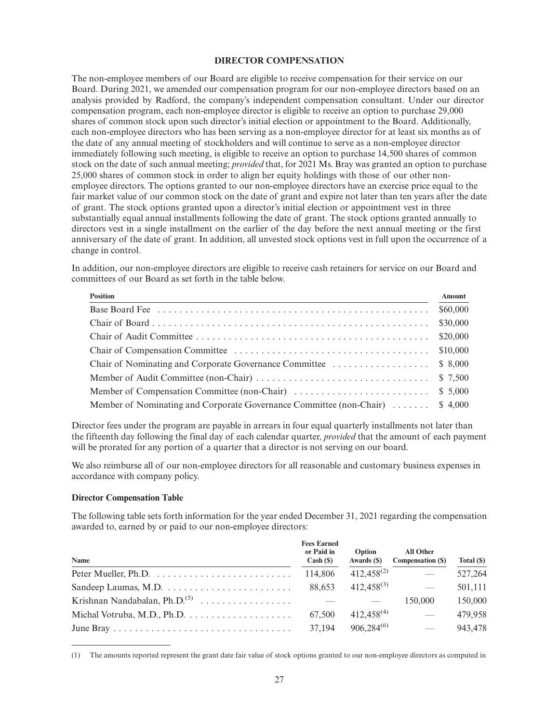#### **DIRECTOR COMPENSATION**

The non-employee members of our Board are eligible to receive compensation for their service on our Board. During 2021, we amended our compensation program for our non-employee directors based on an analysis provided by Radford, the company's independent compensation consultant. Under our director compensation program, each non-employee director is eligible to receive an option to purchase 29,000 shares of common stock upon such director's initial election or appointment to the Board. Additionally, each non-employee directors who has been serving as a non-employee director for at least six months as of the date of any annual meeting of stockholders and will continue to serve as a non-employee director immediately following such meeting, is eligible to receive an option to purchase 14,500 shares of common stock on the date of such annual meeting; *provided* that, for 2021 Ms. Bray was granted an option to purchase 25,000 shares of common stock in order to align her equity holdings with those of our other nonemployee directors. The options granted to our non-employee directors have an exercise price equal to the fair market value of our common stock on the date of grant and expire not later than ten years after the date of grant. The stock options granted upon a director's initial election or appointment vest in three substantially equal annual installments following the date of grant. The stock options granted annually to directors vest in a single installment on the earlier of the day before the next annual meeting or the first anniversary of the date of grant. In addition, all unvested stock options vest in full upon the occurrence of a change in control.

In addition, our non-employee directors are eligible to receive cash retainers for service on our Board and committees of our Board as set forth in the table below.

| <b>Position</b>                                                               | Amount   |
|-------------------------------------------------------------------------------|----------|
|                                                                               |          |
|                                                                               | \$30,000 |
|                                                                               |          |
|                                                                               | \$10,000 |
|                                                                               |          |
|                                                                               |          |
|                                                                               |          |
| Member of Nominating and Corporate Governance Committee (non-Chair)  \$ 4,000 |          |

Director fees under the program are payable in arrears in four equal quarterly installments not later than the fifteenth day following the final day of each calendar quarter, *provided* that the amount of each payment will be prorated for any portion of a quarter that a director is not serving on our board.

We also reimburse all of our non-employee directors for all reasonable and customary business expenses in accordance with company policy.

### **Director Compensation Table**

The following table sets forth information for the year ended December 31, 2021 regarding the compensation awarded to, earned by or paid to our non-employee directors:

| Name | <b>Fees Earned</b><br>or Paid in<br>$Cash (\$)$ | Option<br>Awards (\$) | <b>All Other</b><br>Compensation (\$) | Total (\$) |
|------|-------------------------------------------------|-----------------------|---------------------------------------|------------|
|      | 114,806                                         | $412,458^{(2)}$       |                                       | 527,264    |
|      | 88.653                                          | $412,458^{(3)}$       |                                       | 501,111    |
|      |                                                 |                       | 150,000                               | 150,000    |
|      | 67,500                                          | $412,458^{(4)}$       |                                       | 479,958    |
|      | 37,194                                          | $906,284^{(6)}$       | $\overline{\phantom{m}}$              | 943,478    |

<sup>(1)</sup> The amounts reported represent the grant date fair value of stock options granted to our non-employee directors as computed in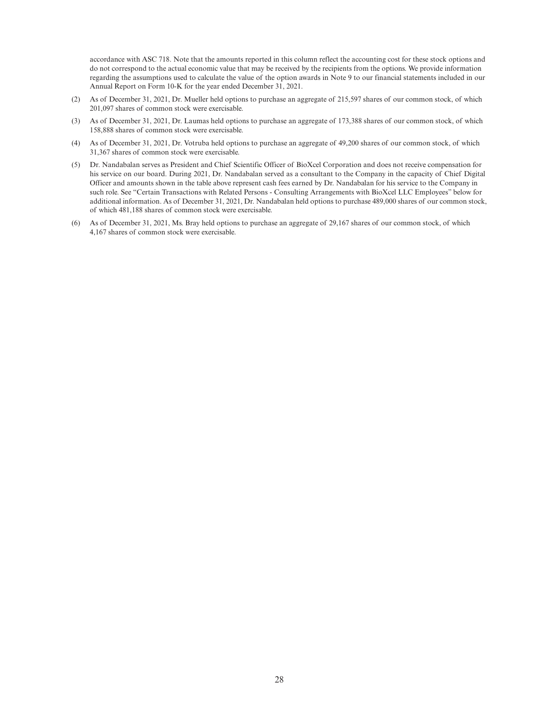accordance with ASC 718. Note that the amounts reported in this column reflect the accounting cost for these stock options and do not correspond to the actual economic value that may be received by the recipients from the options. We provide information regarding the assumptions used to calculate the value of the option awards in Note 9 to our financial statements included in our Annual Report on Form 10-K for the year ended December 31, 2021.

- (2) As of December 31, 2021, Dr. Mueller held options to purchase an aggregate of 215,597 shares of our common stock, of which 201,097 shares of common stock were exercisable.
- (3) As of December 31, 2021, Dr. Laumas held options to purchase an aggregate of 173,388 shares of our common stock, of which 158,888 shares of common stock were exercisable.
- (4) As of December 31, 2021, Dr. Votruba held options to purchase an aggregate of 49,200 shares of our common stock, of which 31,367 shares of common stock were exercisable.
- (5) Dr. Nandabalan serves as President and Chief Scientific Officer of BioXcel Corporation and does not receive compensation for his service on our board. During 2021, Dr. Nandabalan served as a consultant to the Company in the capacity of Chief Digital Officer and amounts shown in the table above represent cash fees earned by Dr. Nandabalan for his service to the Company in such role. See "Certain Transactions with Related Persons - Consulting Arrangements with BioXcel LLC Employees" below for additional information. As of December 31, 2021, Dr. Nandabalan held options to purchase 489,000 shares of our common stock, of which 481,188 shares of common stock were exercisable.
- (6) As of December 31, 2021, Ms. Bray held options to purchase an aggregate of 29,167 shares of our common stock, of which 4,167 shares of common stock were exercisable.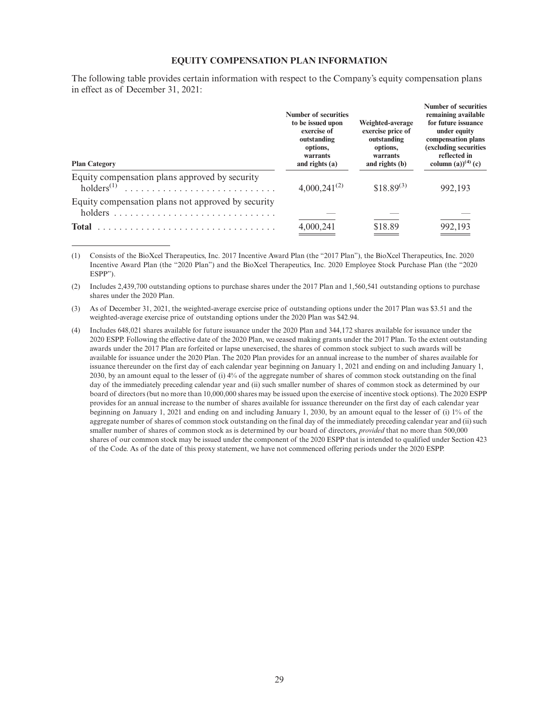#### **EQUITY COMPENSATION PLAN INFORMATION**

The following table provides certain information with respect to the Company's equity compensation plans in effect as of December 31, 2021:

| <b>Plan Category</b>                                                     | <b>Number of securities</b><br>to be issued upon<br>exercise of<br>outstanding<br>options,<br>warrants<br>and rights $(a)$ | Weighted-average<br>exercise price of<br>outstanding<br>options,<br>warrants<br>and rights (b) | Number of securities<br>remaining available<br>for future issuance<br>under equity<br>compensation plans<br>(excluding securities<br>reflected in<br>column (a)) <sup>(4)</sup> (c) |
|--------------------------------------------------------------------------|----------------------------------------------------------------------------------------------------------------------------|------------------------------------------------------------------------------------------------|-------------------------------------------------------------------------------------------------------------------------------------------------------------------------------------|
| Equity compensation plans approved by security<br>holders <sup>(1)</sup> | $4,000,241^{(2)}$                                                                                                          | $$18.89^{(3)}$                                                                                 | 992.193                                                                                                                                                                             |
| Equity compensation plans not approved by security                       |                                                                                                                            |                                                                                                |                                                                                                                                                                                     |
| <b>Total</b>                                                             | 4,000,241                                                                                                                  | \$18.89                                                                                        | 992,193                                                                                                                                                                             |

(1) Consists of the BioXcel Therapeutics, Inc. 2017 Incentive Award Plan (the "2017 Plan"), the BioXcel Therapeutics, Inc. 2020 Incentive Award Plan (the "2020 Plan") and the BioXcel Therapeutics, Inc. 2020 Employee Stock Purchase Plan (the "2020 ESPP").

(2) Includes 2,439,700 outstanding options to purchase shares under the 2017 Plan and 1,560,541 outstanding options to purchase shares under the 2020 Plan.

(3) As of December 31, 2021, the weighted-average exercise price of outstanding options under the 2017 Plan was \$3.51 and the weighted-average exercise price of outstanding options under the 2020 Plan was \$42.94.

(4) Includes 648,021 shares available for future issuance under the 2020 Plan and 344,172 shares available for issuance under the 2020 ESPP. Following the effective date of the 2020 Plan, we ceased making grants under the 2017 Plan. To the extent outstanding awards under the 2017 Plan are forfeited or lapse unexercised, the shares of common stock subject to such awards will be available for issuance under the 2020 Plan. The 2020 Plan provides for an annual increase to the number of shares available for issuance thereunder on the first day of each calendar year beginning on January 1, 2021 and ending on and including January 1, 2030, by an amount equal to the lesser of (i) 4% of the aggregate number of shares of common stock outstanding on the final day of the immediately preceding calendar year and (ii) such smaller number of shares of common stock as determined by our board of directors (but no more than 10,000,000 shares may be issued upon the exercise of incentive stock options). The 2020 ESPP provides for an annual increase to the number of shares available for issuance thereunder on the first day of each calendar year beginning on January 1, 2021 and ending on and including January 1, 2030, by an amount equal to the lesser of (i) 1% of the aggregate number of shares of common stock outstanding on the final day of the immediately preceding calendar year and (ii) such smaller number of shares of common stock as is determined by our board of directors, *provided* that no more than 500,000 shares of our common stock may be issued under the component of the 2020 ESPP that is intended to qualified under Section 423 of the Code. As of the date of this proxy statement, we have not commenced offering periods under the 2020 ESPP.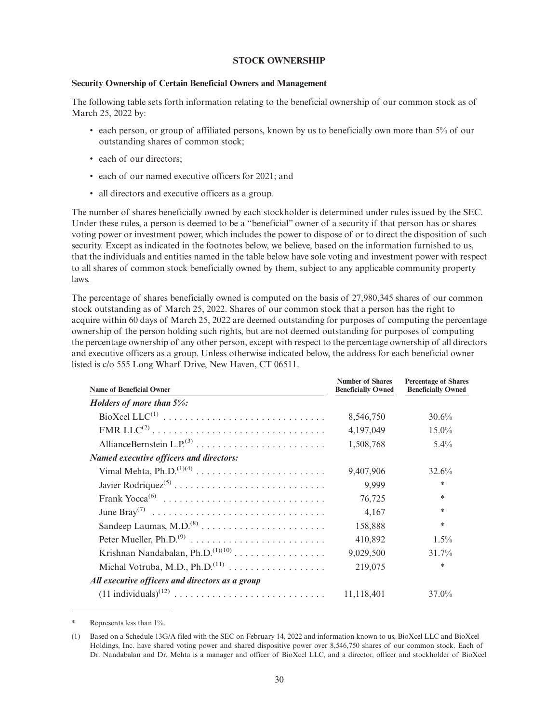#### **STOCK OWNERSHIP**

#### **Security Ownership of Certain Beneficial Owners and Management**

The following table sets forth information relating to the beneficial ownership of our common stock as of March 25, 2022 by:

- each person, or group of affiliated persons, known by us to beneficially own more than 5% of our outstanding shares of common stock;
- each of our directors;
- each of our named executive officers for 2021; and
- all directors and executive officers as a group.

The number of shares beneficially owned by each stockholder is determined under rules issued by the SEC. Under these rules, a person is deemed to be a "beneficial" owner of a security if that person has or shares voting power or investment power, which includes the power to dispose of or to direct the disposition of such security. Except as indicated in the footnotes below, we believe, based on the information furnished to us, that the individuals and entities named in the table below have sole voting and investment power with respect to all shares of common stock beneficially owned by them, subject to any applicable community property laws.

The percentage of shares beneficially owned is computed on the basis of 27,980,345 shares of our common stock outstanding as of March 25, 2022. Shares of our common stock that a person has the right to acquire within 60 days of March 25, 2022 are deemed outstanding for purposes of computing the percentage ownership of the person holding such rights, but are not deemed outstanding for purposes of computing the percentage ownership of any other person, except with respect to the percentage ownership of all directors and executive officers as a group. Unless otherwise indicated below, the address for each beneficial owner listed is c/o 555 Long Wharf Drive, New Haven, CT 06511.

| <b>Name of Beneficial Owner</b>                 | <b>Number of Shares</b><br><b>Beneficially Owned</b> | <b>Percentage of Shares</b><br><b>Beneficially Owned</b> |
|-------------------------------------------------|------------------------------------------------------|----------------------------------------------------------|
| Holders of more than $5\%$ :                    |                                                      |                                                          |
|                                                 | 8,546,750                                            | 30.6%                                                    |
|                                                 | 4,197,049                                            | $15.0\%$                                                 |
|                                                 | 1,508,768                                            | $5.4\%$                                                  |
| Named executive officers and directors:         |                                                      |                                                          |
|                                                 | 9,407,906                                            | 32.6%                                                    |
|                                                 | 9,999                                                | *                                                        |
|                                                 | 76,725                                               | ∗                                                        |
|                                                 | 4,167                                                | *                                                        |
|                                                 | 158,888                                              | *                                                        |
|                                                 | 410,892                                              | $1.5\%$                                                  |
| Krishnan Nandabalan, Ph.D. $^{(1)(10)}$         | 9,029,500                                            | 31.7%                                                    |
|                                                 | 219,075                                              | *                                                        |
| All executive officers and directors as a group |                                                      |                                                          |
|                                                 | 11,118,401                                           | $37.0\%$                                                 |

Represents less than 1%.

<sup>(1)</sup> Based on a Schedule 13G/A filed with the SEC on February 14, 2022 and information known to us, BioXcel LLC and BioXcel Holdings, Inc. have shared voting power and shared dispositive power over 8,546,750 shares of our common stock. Each of Dr. Nandabalan and Dr. Mehta is a manager and officer of BioXcel LLC, and a director, officer and stockholder of BioXcel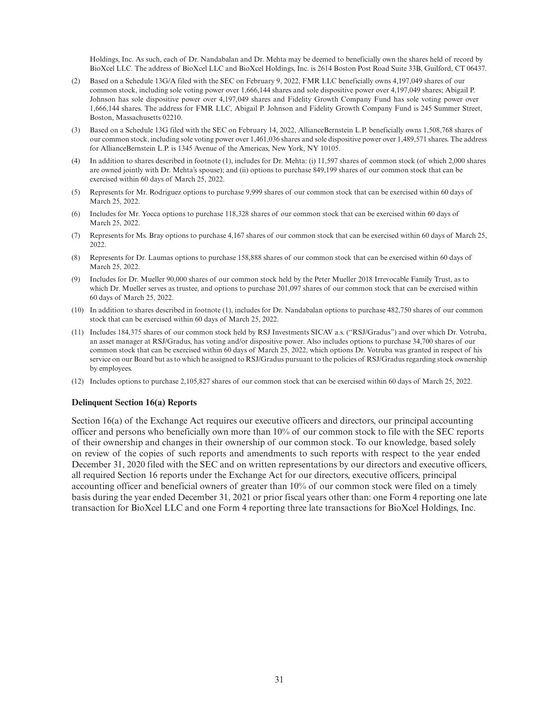Holdings, Inc. As such, each of Dr. Nandabalan and Dr. Mehta may be deemed to beneficially own the shares held of record by BioXcel LLC. The address of BioXcel LLC and BioXcel Holdings, Inc. is 2614 Boston Post Road Suite 33B, Guilford, CT 06437.

- (2) Based on a Schedule 13G/A filed with the SEC on February 9, 2022, FMR LLC beneficially owns 4,197,049 shares of our common stock, including sole voting power over 1,666,144 shares and sole dispositive power over 4,197,049 shares; Abigail P. Johnson has sole dispositive power over 4,197,049 shares and Fidelity Growth Company Fund has sole voting power over 1,666,144 shares. The address for FMR LLC, Abigail P. Johnson and Fidelity Growth Company Fund is 245 Summer Street, Boston, Massachusetts 02210.
- (3) Based on a Schedule 13G filed with the SEC on February 14, 2022, AllianceBernstein L.P. beneficially owns 1,508,768 shares of our common stock, including sole voting power over 1,461,036 shares and sole dispositive power over 1,489,571 shares. The address for AllianceBernstein L.P. is 1345 Avenue of the Americas, New York, NY 10105.
- (4) In addition to shares described in footnote (1), includes for Dr. Mehta: (i) 11,597 shares of common stock (of which 2,000 shares are owned jointly with Dr. Mehta's spouse); and (ii) options to purchase 849,199 shares of our common stock that can be exercised within 60 days of March 25, 2022.
- (5) Represents for Mr. Rodriguez options to purchase 9,999 shares of our common stock that can be exercised within 60 days of March 25, 2022.
- (6) Includes for Mr. Yocca options to purchase 118,328 shares of our common stock that can be exercised within 60 days of March 25, 2022.
- (7) Represents for Ms. Bray options to purchase 4,167 shares of our common stock that can be exercised within 60 days of March 25, 2022.
- (8) Represents for Dr. Laumas options to purchase 158,888 shares of our common stock that can be exercised within 60 days of March 25, 2022.
- (9) Includes for Dr. Mueller 90,000 shares of our common stock held by the Peter Mueller 2018 Irrevocable Family Trust, as to which Dr. Mueller serves as trustee, and options to purchase 201,097 shares of our common stock that can be exercised within 60 days of March 25, 2022.
- (10) In addition to shares described in footnote (1), includes for Dr. Nandabalan options to purchase 482,750 shares of our common stock that can be exercised within 60 days of March 25, 2022.
- (11) Includes 184,375 shares of our common stock held by RSJ Investments SICAV a.s. ("RSJ/Gradus") and over which Dr. Votruba, an asset manager at RSJ/Gradus, has voting and/or dispositive power. Also includes options to purchase 34,700 shares of our common stock that can be exercised within 60 days of March 25, 2022, which options Dr. Votruba was granted in respect of his service on our Board but as to which he assigned to RSJ/Gradus pursuant to the policies of RSJ/Gradus regarding stock ownership by employees.
- (12) Includes options to purchase 2,105,827 shares of our common stock that can be exercised within 60 days of March 25, 2022.

#### **Delinquent Section 16(a) Reports**

Section 16(a) of the Exchange Act requires our executive officers and directors, our principal accounting officer and persons who beneficially own more than 10% of our common stock to file with the SEC reports of their ownership and changes in their ownership of our common stock. To our knowledge, based solely on review of the copies of such reports and amendments to such reports with respect to the year ended December 31, 2020 filed with the SEC and on written representations by our directors and executive officers, all required Section 16 reports under the Exchange Act for our directors, executive officers, principal accounting officer and beneficial owners of greater than 10% of our common stock were filed on a timely basis during the year ended December 31, 2021 or prior fiscal years other than: one Form 4 reporting one late transaction for BioXcel LLC and one Form 4 reporting three late transactions for BioXcel Holdings, Inc.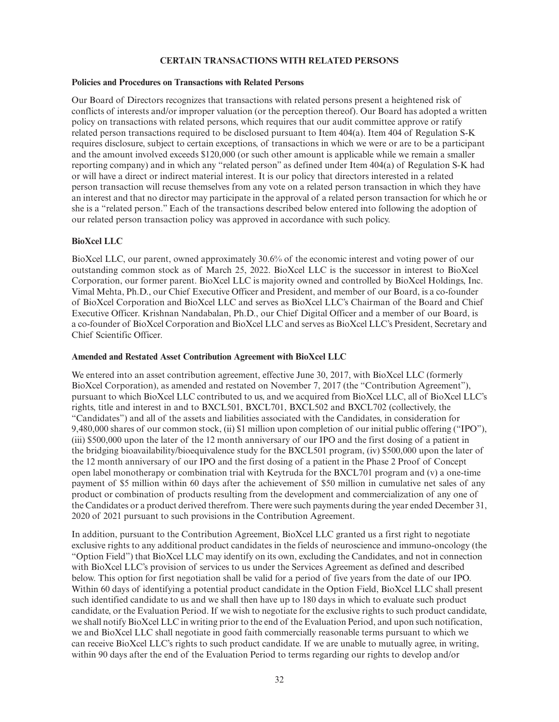### **CERTAIN TRANSACTIONS WITH RELATED PERSONS**

### **Policies and Procedures on Transactions with Related Persons**

Our Board of Directors recognizes that transactions with related persons present a heightened risk of conflicts of interests and/or improper valuation (or the perception thereof). Our Board has adopted a written policy on transactions with related persons, which requires that our audit committee approve or ratify related person transactions required to be disclosed pursuant to Item 404(a). Item 404 of Regulation S-K requires disclosure, subject to certain exceptions, of transactions in which we were or are to be a participant and the amount involved exceeds \$120,000 (or such other amount is applicable while we remain a smaller reporting company) and in which any "related person" as defined under Item 404(a) of Regulation S-K had or will have a direct or indirect material interest. It is our policy that directors interested in a related person transaction will recuse themselves from any vote on a related person transaction in which they have an interest and that no director may participate in the approval of a related person transaction for which he or she is a "related person." Each of the transactions described below entered into following the adoption of our related person transaction policy was approved in accordance with such policy.

# **BioXcel LLC**

BioXcel LLC, our parent, owned approximately 30.6% of the economic interest and voting power of our outstanding common stock as of March 25, 2022. BioXcel LLC is the successor in interest to BioXcel Corporation, our former parent. BioXcel LLC is majority owned and controlled by BioXcel Holdings, Inc. Vimal Mehta, Ph.D., our Chief Executive Officer and President, and member of our Board, is a co-founder of BioXcel Corporation and BioXcel LLC and serves as BioXcel LLC's Chairman of the Board and Chief Executive Officer. Krishnan Nandabalan, Ph.D., our Chief Digital Officer and a member of our Board, is a co-founder of BioXcel Corporation and BioXcel LLC and serves as BioXcel LLC's President, Secretary and Chief Scientific Officer.

### **Amended and Restated Asset Contribution Agreement with BioXcel LLC**

We entered into an asset contribution agreement, effective June 30, 2017, with BioXcel LLC (formerly BioXcel Corporation), as amended and restated on November 7, 2017 (the "Contribution Agreement"), pursuant to which BioXcel LLC contributed to us, and we acquired from BioXcel LLC, all of BioXcel LLC's rights, title and interest in and to BXCL501, BXCL701, BXCL502 and BXCL702 (collectively, the "Candidates") and all of the assets and liabilities associated with the Candidates, in consideration for 9,480,000 shares of our common stock, (ii) \$1 million upon completion of our initial public offering ("IPO"), (iii) \$500,000 upon the later of the 12 month anniversary of our IPO and the first dosing of a patient in the bridging bioavailability/bioequivalence study for the BXCL501 program, (iv) \$500,000 upon the later of the 12 month anniversary of our IPO and the first dosing of a patient in the Phase 2 Proof of Concept open label monotherapy or combination trial with Keytruda for the BXCL701 program and (v) a one-time payment of \$5 million within 60 days after the achievement of \$50 million in cumulative net sales of any product or combination of products resulting from the development and commercialization of any one of the Candidates or a product derived therefrom. There were such payments during the year ended December 31, 2020 of 2021 pursuant to such provisions in the Contribution Agreement.

In addition, pursuant to the Contribution Agreement, BioXcel LLC granted us a first right to negotiate exclusive rights to any additional product candidates in the fields of neuroscience and immuno-oncology (the "Option Field") that BioXcel LLC may identify on its own, excluding the Candidates, and not in connection with BioXcel LLC's provision of services to us under the Services Agreement as defined and described below. This option for first negotiation shall be valid for a period of five years from the date of our IPO. Within 60 days of identifying a potential product candidate in the Option Field, BioXcel LLC shall present such identified candidate to us and we shall then have up to 180 days in which to evaluate such product candidate, or the Evaluation Period. If we wish to negotiate for the exclusive rights to such product candidate, we shall notify BioXcel LLC in writing prior to the end of the Evaluation Period, and upon such notification, we and BioXcel LLC shall negotiate in good faith commercially reasonable terms pursuant to which we can receive BioXcel LLC's rights to such product candidate. If we are unable to mutually agree, in writing, within 90 days after the end of the Evaluation Period to terms regarding our rights to develop and/or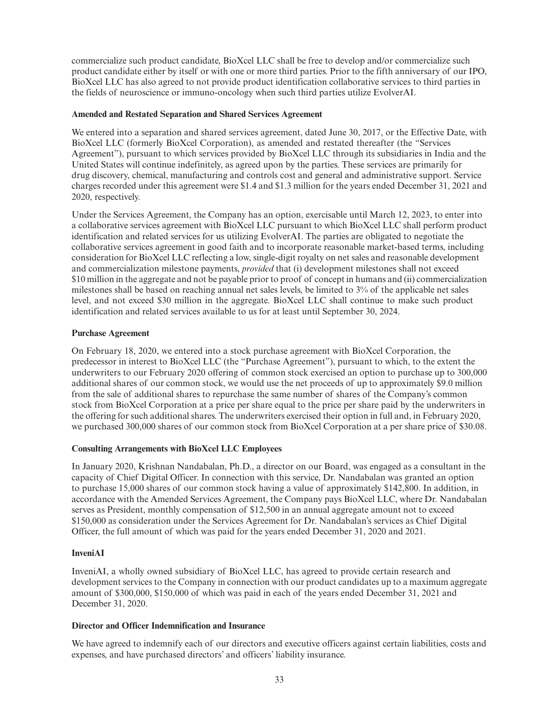commercialize such product candidate, BioXcel LLC shall be free to develop and/or commercialize such product candidate either by itself or with one or more third parties. Prior to the fifth anniversary of our IPO, BioXcel LLC has also agreed to not provide product identification collaborative services to third parties in the fields of neuroscience or immuno-oncology when such third parties utilize EvolverAI.

# **Amended and Restated Separation and Shared Services Agreement**

We entered into a separation and shared services agreement, dated June 30, 2017, or the Effective Date, with BioXcel LLC (formerly BioXcel Corporation), as amended and restated thereafter (the "Services Agreement"), pursuant to which services provided by BioXcel LLC through its subsidiaries in India and the United States will continue indefinitely, as agreed upon by the parties. These services are primarily for drug discovery, chemical, manufacturing and controls cost and general and administrative support. Service charges recorded under this agreement were \$1.4 and \$1.3 million for the years ended December 31, 2021 and 2020, respectively.

Under the Services Agreement, the Company has an option, exercisable until March 12, 2023, to enter into a collaborative services agreement with BioXcel LLC pursuant to which BioXcel LLC shall perform product identification and related services for us utilizing EvolverAI. The parties are obligated to negotiate the collaborative services agreement in good faith and to incorporate reasonable market-based terms, including consideration for BioXcel LLC reflecting a low, single-digit royalty on net sales and reasonable development and commercialization milestone payments, *provided* that (i) development milestones shall not exceed \$10 million in the aggregate and not be payable prior to proof of concept in humans and (ii) commercialization milestones shall be based on reaching annual net sales levels, be limited to 3% of the applicable net sales level, and not exceed \$30 million in the aggregate. BioXcel LLC shall continue to make such product identification and related services available to us for at least until September 30, 2024.

# **Purchase Agreement**

On February 18, 2020, we entered into a stock purchase agreement with BioXcel Corporation, the predecessor in interest to BioXcel LLC (the "Purchase Agreement"), pursuant to which, to the extent the underwriters to our February 2020 offering of common stock exercised an option to purchase up to 300,000 additional shares of our common stock, we would use the net proceeds of up to approximately \$9.0 million from the sale of additional shares to repurchase the same number of shares of the Company's common stock from BioXcel Corporation at a price per share equal to the price per share paid by the underwriters in the offering for such additional shares. The underwriters exercised their option in full and, in February 2020, we purchased 300,000 shares of our common stock from BioXcel Corporation at a per share price of \$30.08.

# **Consulting Arrangements with BioXcel LLC Employees**

In January 2020, Krishnan Nandabalan, Ph.D., a director on our Board, was engaged as a consultant in the capacity of Chief Digital Officer. In connection with this service, Dr. Nandabalan was granted an option to purchase 15,000 shares of our common stock having a value of approximately \$142,800. In addition, in accordance with the Amended Services Agreement, the Company pays BioXcel LLC, where Dr. Nandabalan serves as President, monthly compensation of \$12,500 in an annual aggregate amount not to exceed \$150,000 as consideration under the Services Agreement for Dr. Nandabalan's services as Chief Digital Officer, the full amount of which was paid for the years ended December 31, 2020 and 2021.

# **InveniAI**

InveniAI, a wholly owned subsidiary of BioXcel LLC, has agreed to provide certain research and development services to the Company in connection with our product candidates up to a maximum aggregate amount of \$300,000, \$150,000 of which was paid in each of the years ended December 31, 2021 and December 31, 2020.

# **Director and Officer Indemnification and Insurance**

We have agreed to indemnify each of our directors and executive officers against certain liabilities, costs and expenses, and have purchased directors' and officers' liability insurance.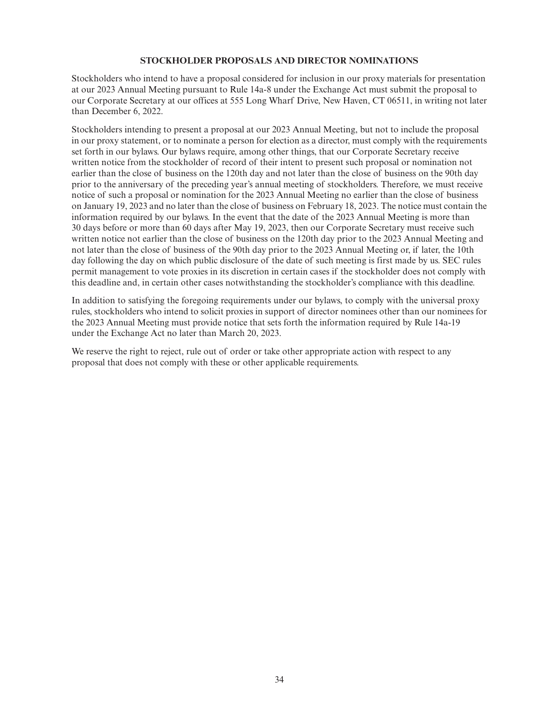#### **STOCKHOLDER PROPOSALS AND DIRECTOR NOMINATIONS**

Stockholders who intend to have a proposal considered for inclusion in our proxy materials for presentation at our 2023 Annual Meeting pursuant to Rule 14a-8 under the Exchange Act must submit the proposal to our Corporate Secretary at our offices at 555 Long Wharf Drive, New Haven, CT 06511, in writing not later than December 6, 2022.

Stockholders intending to present a proposal at our 2023 Annual Meeting, but not to include the proposal in our proxy statement, or to nominate a person for election as a director, must comply with the requirements set forth in our bylaws. Our bylaws require, among other things, that our Corporate Secretary receive written notice from the stockholder of record of their intent to present such proposal or nomination not earlier than the close of business on the 120th day and not later than the close of business on the 90th day prior to the anniversary of the preceding year's annual meeting of stockholders. Therefore, we must receive notice of such a proposal or nomination for the 2023 Annual Meeting no earlier than the close of business on January 19, 2023 and no later than the close of business on February 18, 2023. The notice must contain the information required by our bylaws. In the event that the date of the 2023 Annual Meeting is more than 30 days before or more than 60 days after May 19, 2023, then our Corporate Secretary must receive such written notice not earlier than the close of business on the 120th day prior to the 2023 Annual Meeting and not later than the close of business of the 90th day prior to the 2023 Annual Meeting or, if later, the 10th day following the day on which public disclosure of the date of such meeting is first made by us. SEC rules permit management to vote proxies in its discretion in certain cases if the stockholder does not comply with this deadline and, in certain other cases notwithstanding the stockholder's compliance with this deadline.

In addition to satisfying the foregoing requirements under our bylaws, to comply with the universal proxy rules, stockholders who intend to solicit proxies in support of director nominees other than our nominees for the 2023 Annual Meeting must provide notice that sets forth the information required by Rule 14a-19 under the Exchange Act no later than March 20, 2023.

We reserve the right to reject, rule out of order or take other appropriate action with respect to any proposal that does not comply with these or other applicable requirements.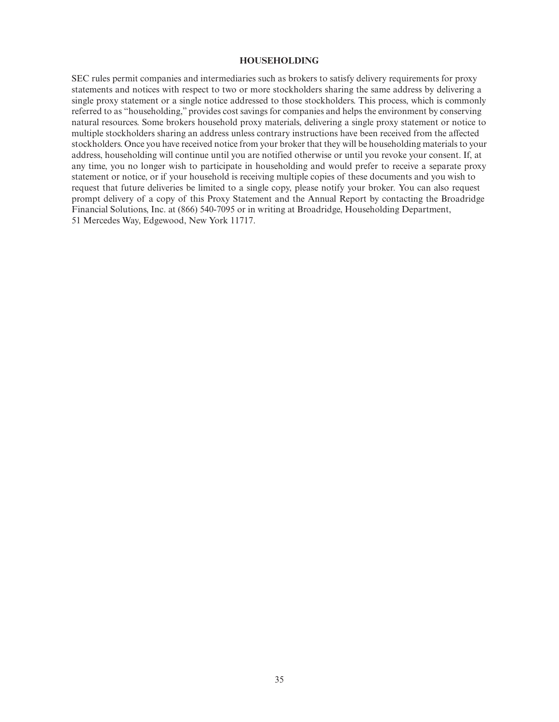#### **HOUSEHOLDING**

SEC rules permit companies and intermediaries such as brokers to satisfy delivery requirements for proxy statements and notices with respect to two or more stockholders sharing the same address by delivering a single proxy statement or a single notice addressed to those stockholders. This process, which is commonly referred to as "householding," provides cost savings for companies and helps the environment by conserving natural resources. Some brokers household proxy materials, delivering a single proxy statement or notice to multiple stockholders sharing an address unless contrary instructions have been received from the affected stockholders. Once you have received notice from your broker that they will be householding materials to your address, householding will continue until you are notified otherwise or until you revoke your consent. If, at any time, you no longer wish to participate in householding and would prefer to receive a separate proxy statement or notice, or if your household is receiving multiple copies of these documents and you wish to request that future deliveries be limited to a single copy, please notify your broker. You can also request prompt delivery of a copy of this Proxy Statement and the Annual Report by contacting the Broadridge Financial Solutions, Inc. at (866) 540-7095 or in writing at Broadridge, Householding Department, 51 Mercedes Way, Edgewood, New York 11717.